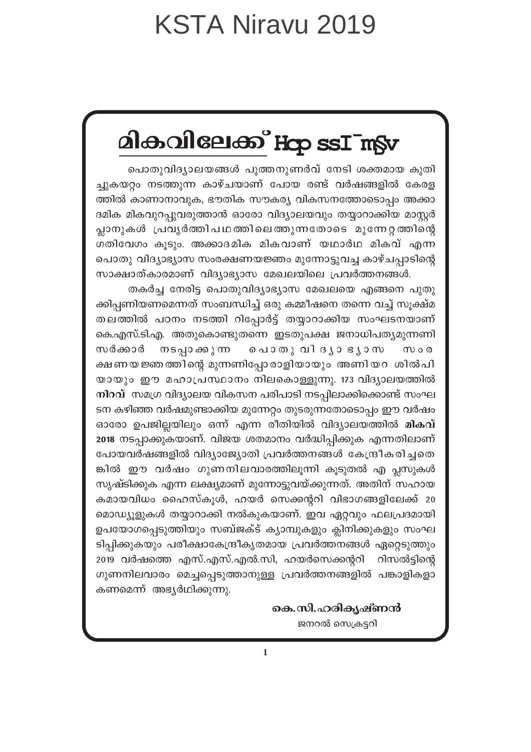# മികവിലേക്ക് Hop ssImSv

പൊതുവിദ്യാലയങ്ങൾ പുത്തനുണർവ് നേടി ശക്തമായ കുതി ച്ചുകയറ്റം നടത്തുന്ന കാഴ്ചയാണ് പോയ രണ്ട് വർഷങ്ങളിൽ കേരള ത്തിൽ കാണാനാവുക, ഭൗതിക സൗകര്യ വികസനത്തോടൊപ്പം അക്കാ ദമിക മികവുറപ്പുവരുത്താൻ ഓരോ വിദ്യാലയവും തയ്യാറാക്കിയ മാസ്റ്റർ പ്ലാനുകൾ പ്രവൃർത്തിപഥത്തിലെത്തുന്നതോടെ മുന്നേറ്റത്തിന്റെ ഗതിവേഗം കൂടും. അക്കാദമിക മികവാണ് യഥാർഥ മികവ് എന്ന പൊതു വിദ്യാഭ്യാസ സംരക്ഷണയജ്ഞം മുന്നോട്ടുവച്ച കാഴ്ചപ്പാടിന്റെ സാക്ഷാത്കാരമാണ് വിദ്യാഭ്യാസ മേഖലയിലെ പ്രവർത്തനങ്ങൾ.

തകർച്ച നേരിട്ട പൊതുവിദ്യാഭ്യാസ മേഖലയെ എങ്ങനെ പുതു ക്കിപ്പണിയണമെന്നത് സംബന്ധിച്ച് ഒരു കമ്മീഷനെ തന്നെ വച്ച് സൂക്ഷ്മ തലത്തിൽ പഠനം നടത്തി റിപ്പോർട്ട് തയ്യാറാക്കിയ സംഘടനയാണ് കെ.എസ്.ടി.എ. അതുകൊണ്ടുതന്നെ ഇടതുപക്ഷ ജനാധിപത്യമുന്നണി നടപ്പാക്കുന്ന പൊതു വി ദൃാ ഭൃാസ സർക്കാർ  $m \circ \omega$ ക്ഷണയജ്ഞത്തിന്റെ മുന്നണിപ്പോരാളിയായും അണിയറ ശിൽപി യായും ഈ മഹാപ്രസ്ഥാനം നിലകൊള്ളുന്നു. 173 വിദ്യാലയത്തിൽ നിറവ് സമഗ്ര വിദ്യാലയ വികസന പരിപാടി നടപ്പിലാക്കിക്കൊണ്ട് സംഘ ടന കഴിഞ്ഞ വർഷമുണ്ടാക്കിയ മുന്നേറ്റം തുടരുന്നതോടൊപ്പം ഈ വർഷം ഓരോ ഉപജില്ലയിലും ഒന്ന് എന്ന രീതിയിൽ വിദ്യാലയത്തിൽ **മികവ്** 2018 നടപ്പാക്കുകയാണ്. വിജയ ശതമാനം വർദ്ധിപ്പിക്കുക എന്നതിലാണ് പോയവർഷങ്ങളിൽ വിദ്യാജ്യോതി പ്രവർത്തനങ്ങൾ കേന്ദ്രീകരിച്ചതെ ങ്കിൽ ഈ വർഷം ഗുണനിലവാരത്തിലൂന്നി കൂടുതൽ എ പ്ലസുകൾ സൃഷ്ടിക്കുക എന്ന ലക്ഷ്യമാണ് മുന്നോട്ടുവയ്ക്കുന്നത്. അതിന് സഹായ കമായവിധം ഹൈസ്കൂൾ, ഹയർ സെക്കന്ററി വിഭാഗങ്ങളിലേക്ക് 20 മൊഡ്യൂളുകൾ തയ്യാറാക്കി നൽകുകയാണ്. ഇവ ഏറ്റവും ഫലപ്രദമായി ഉപയോഗപ്പെടുത്തിയും സബ്ജക്ട് ക്യാമ്പുകളും ക്ലിനിക്കുകളും സംഘ ടിപ്പിക്കുകയും പരീക്ഷാകേന്ദ്രീകൃതമായ പ്രവർത്തനങ്ങൾ ഏറ്റെടുത്തും 2019 വർഷത്തെ എസ്.എസ്.എൽ.സി, ഹയർസെക്കന്ററി റിസൽട്ടിന്റെ ഗുണനിലവാരം മെച്ചപ്പെടുത്താനുള്ള പ്രവർത്തനങ്ങളിൽ പങ്കാളികളാ കണമെന്ന് അഭ്യർഥിക്കുന്നു.

> കെ.സി.ഹരികൃഷ്ണൻ ജനറൽ സെക്രട്ടറി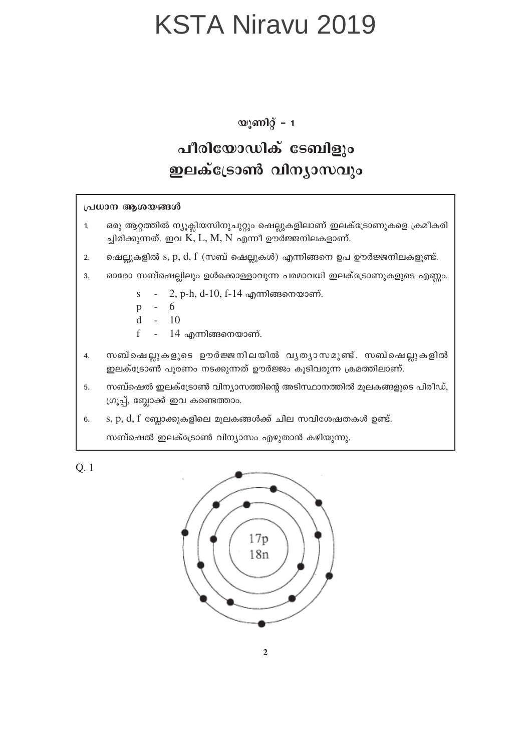യൂണിറ്റ് – 1

#### പീരിയോഡിക് ടേബിളും ഇലക്ട്രോൺ വിന്യാസവും

#### പ്രധാന ആശയങ്ങൾ

- ഒരു ആറ്റത്തിൽ ന്യൂക്ലിയസിനുചുറ്റും ഷെല്ലുകളിലാണ് ഇലക്ട്രോണുകളെ ക്രമീകരി  $\mathbf{1}$ ച്ചിരിക്കുന്നത്. ഇവ K, L, M, N എന്നീ ഊർജ്ജനിലകളാണ്.
- ഷെല്ലുകളിൽ s, p, d, f (സബ് ഷെല്ലുകൾ) എന്നിങ്ങനെ ഉപ ഊർജ്ജനിലകളുണ്ട്.  $2.$
- ഓരോ സബ്ഷെല്ലിലും ഉൾക്കൊള്ളാവുന്ന പരമാവധി ഇലക്ട്രോണുകളുടെ എണ്ണം. 3.
	- 2, p-h, d-10, f-14 എന്നിങ്ങനെയാണ്.  $\mathbf{s}$
	- 6  $\mathbf{p}$
	- $10$  $\mathbf d$
	- $14$  എന്നിങ്ങനെയാണ്.  $\mathbf f$
- സബ്ഷെല്ലുകളുടെ ഊർജ്ജനിലയിൽ വൃത്യാസമുണ്ട്. സബ്ഷെല്ലുകളിൽ  $\overline{4}$ . ഇലക്ട്രോൺ പൂരണം നടക്കുന്നത് ഊർജ്ജം കൂടിവരുന്ന ക്രമത്തിലാണ്.
- സബ്ഷെൽ ഇലക്ട്രോൺ വിന്യാസത്തിന്റെ അടിസ്ഥാനത്തിൽ മൂലകങ്ങളുടെ പിരീഡ്,  $5<sub>1</sub>$ ഗ്രൂപ്പ്, ബ്ലോക്ക് ഇവ കണ്ടെത്താം.
- $s, p, d, f$  ബ്ലോക്കുകളിലെ മൂലകങ്ങൾക്ക് ചില സവിശേഷതകൾ ഉണ്ട്.  $6.$

സബ്ഷെൽ ഇലക്ട്രോൺ വിന്യാസം എഴുതാൻ കഴിയുന്നു.

 $Q.1$ 

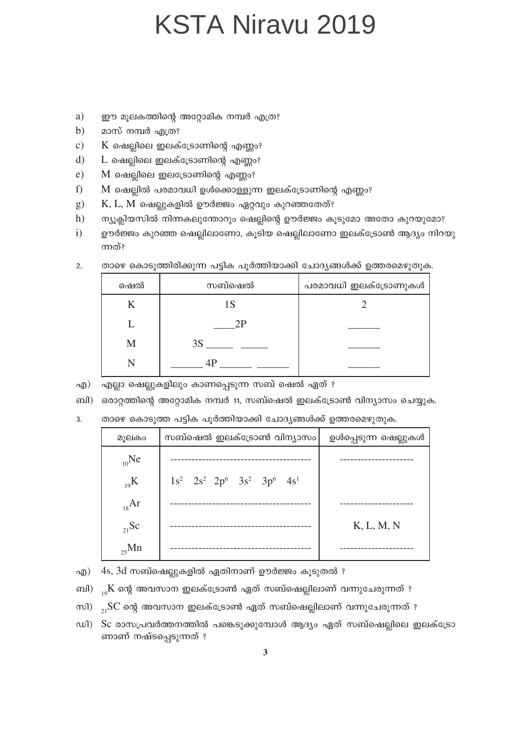- a) ഈ മൂലകത്തിന്റെ അറ്റോമിക നമ്പർ എത്ര?
- $b)$ മാസ് നമ്പർ എത്ര?
- $\mathbf{c}$ )  $K$  ഷെല്ലിലെ ഇലക്ട്രോണിന്റെ എണ്ണം?
- $\mathbf{d}$  $L$  ഷെല്ലിലെ ഇലക്ട്രോണിന്റെ എണ്ണം?
- $e)$  $M$  ഷെല്ലിലെ ഇലട്രോണിന്റെ എണ്ണം?
- f) M ഷെല്ലിൽ പരമാവധി ഉൾക്കൊള്ളുന്ന ഇലക്ട്രോണിന്റെ എണ്ണം?
- $g)$  $K, L, M$  ഷെല്ലുകളിൽ ഊർജ്ജം ഏറ്റവും കുറഞ്ഞതേത്?
- $h)$ ന്യൂക്ലിയസിൽ നിന്നകലുന്തോറും ഷെല്ലിന്റെ ഊർജ്ജം കൂടുമോ അതോ കുറയുമോ?
- $\mathbf{i}$ ഊർജ്ജം കുറഞ്ഞ ഷെല്ലിലാണോ, കൂടിയ ഷെല്ലിലാണോ ഇലക്ട്രോൺ ആദ്യം നിറയു ന്നത്?

| ഷെൽ | സബ്ഷെൽ | പരമാവധി ഇലക്ട്രോണുകൾ |
|-----|--------|----------------------|
|     | 1S     |                      |
|     | 2Р     |                      |
| M   | 3S     |                      |
|     | 4P     |                      |

താഴെ കൊടുത്തിരിക്കുന്ന പട്ടിക പുർത്തിയാക്കി ചോദ്യങ്ങൾക്ക് ഉത്തരമെഴുതുക.  $2.$ 

എ) എല്ലാ ഷെല്ലുകളിലും കാണപ്പെടുന്ന സബ് ഷെൽ ഏത് ?

ബി) ഒരാറ്റത്തിന്റെ അറ്റോമിക നമ്പർ 11, സബ്ഷെൽ ഇലക്ട്രോൺ വിന്യാസം ചെയ്യുക.

താഴെ കൊടുത്ത പട്ടിക പൂർത്തിയാക്കി ചോദ്യങ്ങൾക്ക് ഉത്തരമെഴുതുക.  $\overline{3}$ .

| മുലകം      | സബ്ഷെൽ ഇലക്ട്രോൺ വിന്യാസം                 | ഉൾപ്പെടുന്ന ഷെല്ലുകൾ |
|------------|-------------------------------------------|----------------------|
| $_{10}$ Ne |                                           |                      |
| $_{19}$ K  | $1s^2$ $2s^2$ $2p^6$ $3s^2$ $3p^6$ $4s^1$ |                      |
| $_{18}Ar$  |                                           |                      |
| $_{21}$ Sc |                                           | K, L, M, N           |
| $_{25}$ Mn |                                           |                      |

എ) 4s, 3d സബ്ഷെല്ലുകളിൽ ഏതിനാണ് ഊർജ്ജം കൂടുതൽ ?

ബി) <sub>ം</sub>K ന്റെ അവസാന ഇലക്ട്രോൺ ഏത് സബ്ഷെല്ലിലാണ് വന്നുചേരുന്നത് ?

- സി) <sub>ാ.</sub>SC ന്റെ അവസാന ഇലക്ട്രോൺ ഏത് സബ്ഷെല്ലിലാണ് വന്നുചേരുന്നത് ?
- ഡി) Sc രാസപ്രവർത്തനത്തിൽ പങ്കെടുക്കുമ്പോൾ ആദ്യം ഏത് സബ്ഷെല്ലിലെ ഇലക്ട്രോ ണാണ് നഷ്ടപ്പെടുന്നത് ?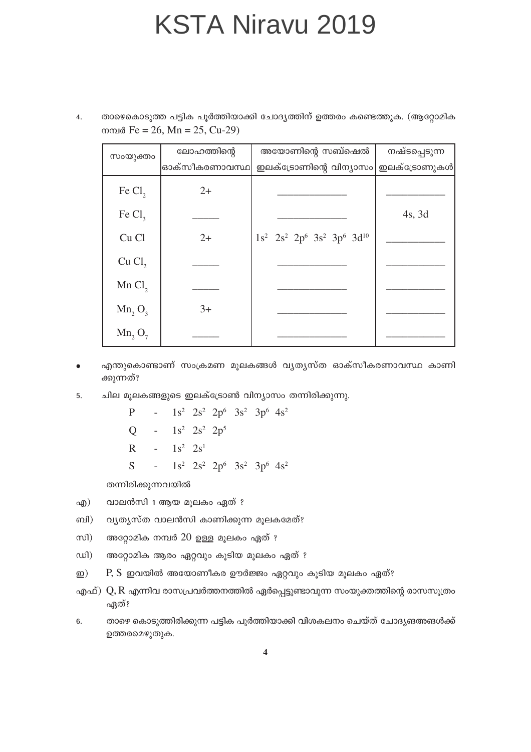താഴെകൊടുത്ത പട്ടിക പൂർത്തിയാക്കി ചോദൃത്തിന് ഉത്തരം കണ്ടെത്തുക. (ആറ്റോമിക  $\overline{4}$ . mmd Fe = 26, Mn = 25, Cu-29)

| സംയുക്തം           | ലോഹത്തിന്റെ   | അയോണിന്റെ സബ്ഷെൽ                             | നഷ്ടപ്പെടുന്ന |
|--------------------|---------------|----------------------------------------------|---------------|
|                    | ഓക്സീകരണാവസ്ഥ | ഇലക്ട്രോണിന്റെ വിന്യാസം ഇലക്ട്രോണുകൾ         |               |
| Fe $Cl2$           | $2+$          |                                              |               |
| Fe $Cl3$           |               |                                              | $4s$ , 3d     |
| Cu Cl              | $2+$          | $1s^2$ $2s^2$ $2p^6$ $3s^2$ $3p^6$ $3d^{10}$ |               |
| Cu Cl <sub>2</sub> |               |                                              |               |
| Mn Cl <sub>2</sub> |               |                                              |               |
| $Mn_2O_3$          | $3+$          |                                              |               |
| $Mn_2O_7$          |               |                                              |               |

- എന്തുകൊണ്ടാണ് സംക്രമണ മൂലകങ്ങൾ വ്യത്യസ്ത ഓക്സീകരണാവസ്ഥ കാണി  $\bullet$ ക്കുന്നത്?
- ചില മൂലകങ്ങളുടെ ഇലക്ട്രോൺ വിന്യാസം തന്നിരിക്കുന്നു. 5.

 $\mathbf{P}$ -  $1s^2$   $2s^2$   $2p^6$   $3s^2$   $3p^6$   $4s^2$ -  $1s^2$   $2s^2$   $2p^5$  $\overline{O}$  $-1s^2$   $2s^1$  $\overline{R}$  $1s^2$   $2s^2$   $2p^6$   $3s^2$   $3p^6$   $4s^2$ S  $\overline{a}$ 

തന്നിരിക്കുന്നവയിൽ

- വാലൻസി 1 ആയ മൂലകം ഏത് ? എ)
- വ്യത്യസ്ത വാലൻസി കാണിക്കുന്ന മൂലകമേത്? ബി)
- $m$ അറ്റോമിക നമ്പർ  $20$  ഉള്ള മൂലകം ഏത് ?
- $w$ അറ്റോമിക ആരം ഏറ്റവും കൂടിയ മൂലകം ഏത് ?
- P, S ഇവയിൽ അയോണീകര ഊർജ്ജം ഏറ്റവും കൂടിയ മൂലകം ഏത്?  $\mathbf{D}$
- എഫ്)  $Q, R$  എന്നിവ രാസപ്രവർത്തനത്തിൽ ഏർപ്പെട്ടുണ്ടാവുന്ന സംയുക്തത്തിന്റെ രാസസൂത്രം ഏത്?
- താഴെ കൊടുത്തിരിക്കുന്ന പട്ടിക പുർത്തിയാക്കി വിശകലനം ചെയ്ത് ചോദ്യങഅങൾക്ക് 6. ഉത്തരമെഴുതുക.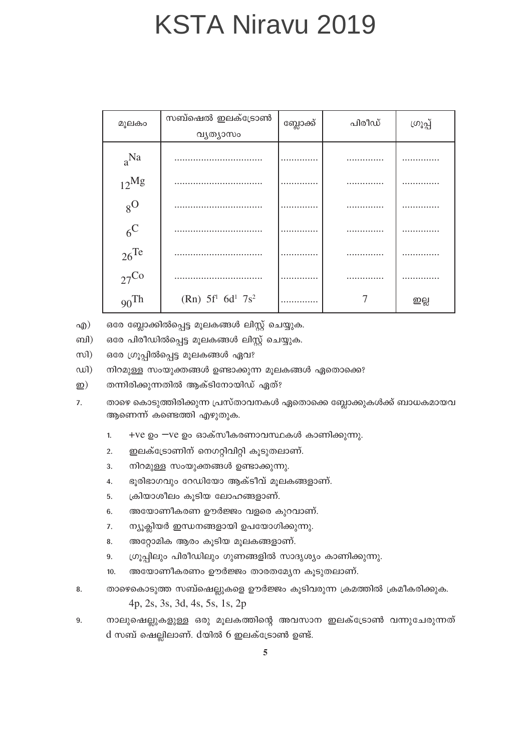| മൂലകാ              | സബ്ഷെൽ ഇലക്ട്രോൺ   | ബ്ലോക്ക് | പിരീഡ് | ശൂപ്പ് |
|--------------------|--------------------|----------|--------|--------|
|                    | വ്യത്യാസം          |          |        |        |
| $a^{Na}$           |                    |          |        |        |
| $12^{Mg}$          |                    |          |        |        |
| $8^{\rm O}$        |                    |          |        |        |
| $6^{\rm C}$        |                    |          |        |        |
| $26$ <sup>Te</sup> |                    |          |        |        |
| $27^{\text{Co}}$   |                    |          |        |        |
| $90$ Th            | $(Rn) 5f1 6d1 7s2$ |          |        | ഇല്ല   |

ഒരേ ബ്ലോക്കിൽപ്പെട്ട മൂലകങ്ങൾ ലിസ്റ്റ് ചെയ്യുക.  $q(\mathfrak{g})$ 

ബി) ഒരേ പിരീഡിൽപ്പെട്ട മുലകങ്ങൾ ലിസ്റ്റ് ചെയ്യുക.

 $m$ ഒരേ ഗ്രൂപ്പിൽപ്പെട്ട മൂലകങ്ങൾ ഏവ?

 $\omega$ l) നിറമുള്ള സംയുക്തങ്ങൾ ഉണ്ടാക്കുന്ന മൂലകങ്ങൾ ഏതൊക്കെ?

- $\mathbf{D})$ തന്നിരിക്കുന്നതിൽ ആക്ടിനോയിഡ് ഏത്?
- താഴെ കൊടുത്തിരിക്കുന്ന പ്രസ്താവനകൾ ഏതൊക്കെ ബ്ലോക്കുകൾക്ക് ബാധകമായവ 7. ആണെന്ന് കണ്ടെത്തി എഴുതുക.
	- +ve ഉം —ve ഉം ഓക്സീകരണാവസ്ഥകൾ കാണിക്കുന്നു.  $1.$
	- ഇലക്ട്രോണിന് നെഗറ്റിവിറ്റി കൂടുതലാണ്.  $2.$
	- നിറമുള്ള സംയുക്തങ്ങൾ ഉണ്ടാക്കുന്നു. 3.
	- ഭൂരിഭാഗവും റേഡിയോ ആക്ടീവ് മൂലകങ്ങളാണ്.  $4.$
	- ക്രിയാശീലം കൂടിയ ലോഹങ്ങളാണ്.  $5<sub>1</sub>$
	- $6.$ അയോണീകരണ ഊർജ്ജം വളരെ കുറവാണ്.
	- ന്യൂക്ലിയർ ഇന്ധനങ്ങളായി ഉപയോഗിക്കുന്നു.  $7.$
	- അറ്റോമിക ആരം കൂടിയ മൂലകങ്ങളാണ്. 8.
	- ഗ്രൂപ്പിലും പിരീഡിലും ഗുണങ്ങളിൽ സാദൃശ്യം കാണിക്കുന്നു. 9.
	- അയോണീകരണം ഊർജ്ജം താരതമ്യേന കുടുതലാണ്.  $10.$
- താഴെകൊടുത്ത സബ്ഷെല്ലുകളെ ഊർജ്ജം കൂടിവരുന്ന ക്രമത്തിൽ ക്രമീകരിക്കുക. 8. 4p, 2s, 3s, 3d, 4s, 5s, 1s, 2p
- നാലുഷെല്ലുകളുള്ള ഒരു മൂലകത്തിന്റെ അവസാന ഇലക്ട്രോൺ വന്നുചേരുന്നത് 9. d സബ് ഷെല്ലിലാണ്. dയിൽ 6 ഇലക്ട്രോൺ ഉണ്ട്.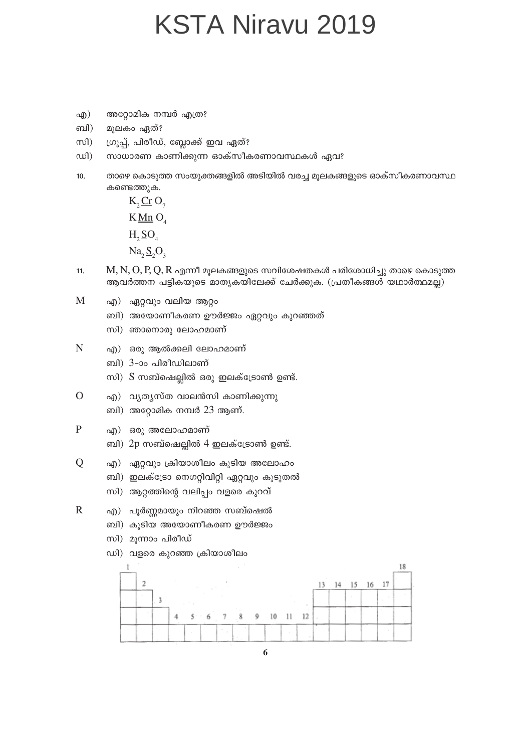- അറ്റോമിക നമ്പർ എത്ര? എ)
- മൂലകം ഏത്? ബി)
- ഗ്രൂപ്പ്, പിരീഡ്, ബ്ലോക്ക് ഇവ ഏത്?  $m$
- സാധാരണ കാണിക്കുന്ന ഓക്സീകരണാവസ്ഥകൾ ഏവ?  $w$
- താഴെ കൊടുത്ത സംയുക്തങ്ങളിൽ അടിയിൽ വരച്ച മൂലകങ്ങളുടെ ഓക്സീകരണാവസ്ഥ  $10.$ കണ്ടെത്തുക.

 $K, \underline{Cr} O$  $K\underline{Mn}$  O  $H_2 \underline{SO}_4$  $Na, S, O,$ 

- $M, N, O, P, Q, R$  എന്നീ മൂലകങ്ങളുടെ സവിശേഷതകൾ പരിശോധിച്ചു താഴെ കൊടുത്ത  $11.$ ആവർത്തന പട്ടികയുടെ മാതൃകയിലേക്ക് ചേർക്കുക. (പ്രതീകങ്ങൾ യഥാർത്ഥമല്ല)
- M എ) ഏറ്റവും വലിയ ആറ്റം
	- ബി) അയോണീകരണ ഊർജ്ജം ഏറ്റവും കുറഞ്ഞത്
	- സി) ഞാനൊരു ലോഹമാണ്
- N എ) ഒരു ആൽക്കലി ലോഹമാണ്
	- ബി) 3-ാം പിരീഡിലാണ്
	- സി) S സബ്ഷെല്ലിൽ ഒരു ഇലക്ട്രോൺ ഉണ്ട്.
- $\overline{O}$ എ) വ്യത്യസ്ത വാലൻസി കാണിക്കുന്നു
	- ബി) അറ്റോമിക നമ്പർ 23 ആണ്.
- $\mathbf{P}$ എ) ഒരു അലോഹമാണ്

 $\overline{Q}$ 

- ബി) 2p സബ്ഷെല്ലിൽ 4 ഇലക്ട്രോൺ ഉണ്ട്.
- എ) ഏറ്റവും ക്രിയാശീലം കൂടിയ അലോഹം
- ബി) ഇലക്ട്രോ നെഗറ്റിവിറ്റി ഏറ്റവും കൂടുതൽ
- സി) ആറ്റത്തിന്റെ വലിപ്പം വളരെ കുറവ്
- $\mathbf R$ എ) പൂർണ്ണമായും നിറഞ്ഞ സബ്ഷെൽ
	- ബി) കുടിയ അയോണീകരണ ഊർജ്ജം
	- സി) മൂന്നാം പിരീഡ്



6

ഡി) വളരെ കുറഞ്ഞ ക്രിയാശീലം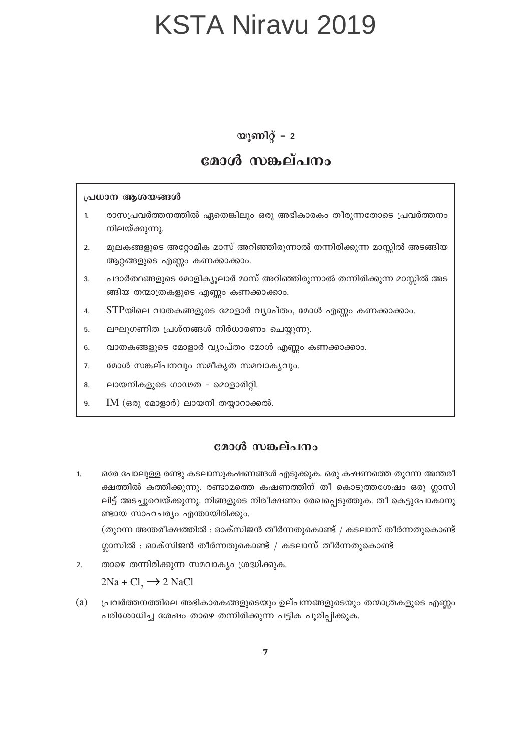#### യൂണിറ്റ് – 2

#### മോൾ സങ്കല്പനം

#### പ്രധാന ആശയങ്ങൾ

- രാസപ്രവർത്തനത്തിൽ ഏതെങ്കിലും ഒരു അഭികാരകം തീരുന്നതോടെ പ്രവർത്തനം  $\mathbf{1}$ നിലയ്ക്കുന്നു.
- മൂലകങ്ങളുടെ അറ്റോമിക മാസ് അറിഞ്ഞിരുന്നാൽ തന്നിരിക്കുന്ന മാസ്സിൽ അടങ്ങിയ  $2.$ ആറ്റങ്ങളുടെ എണ്ണം കണക്കാക്കാം.
- പദാർത്ഥങ്ങളുടെ മോളിക്യൂലാർ മാസ് അറിഞ്ഞിരുന്നാൽ തന്നിരിക്കുന്ന മാസ്സിൽ അട  $\overline{3}$ . ങ്ങിയ തന്മാത്രകളുടെ എണ്ണം കണക്കാക്കാം.
- $STP$ യിലെ വാതകങ്ങളുടെ മോളാർ വ്യാപ്തം, മോൾ എണ്ണം കണക്കാക്കാം.  $\overline{4}$ .
- ലഘുഗണിത പ്രശ്നങ്ങൾ നിർധാരണം ചെയ്യുന്നു. 5.
- വാതകങ്ങളുടെ മോളാർ വ്യാപ്തം മോൾ എണ്ണം കണക്കാക്കാം. 6.
- $\overline{7}$ . മോൾ സങ്കല്പനവും സമീകൃത സമവാകൃവും.
- 8. ലായനികളുടെ ഗാഢത - മൊളാരിറ്റി.
- $IM$  (ഒരു മോളാർ) ലായനി തയ്യാറാക്കൽ. 9.

#### മോൾ സങ്കല്പനം

 $1.$ ഒരേ പോലുള്ള രണ്ടു കടലാസുകഷണങ്ങൾ എടുക്കുക. ഒരു കഷണത്തെ തുറന്ന അന്തരീ ക്ഷത്തിൽ കത്തിക്കുന്നു. രണ്ടാമത്തെ കഷണത്തിന് തീ കൊടുത്തശേഷം ഒരു ഗ്ലാസി ലിട്ട് അടച്ചുവെയ്ക്കുന്നു. നിങ്ങളുടെ നിരീക്ഷണം രേഖപ്പെടുത്തുക. തീ കെട്ടുപോകാനു ണ്ടായ സാഹചര്യം എന്തായിരിക്കും.  $\alpha$ ുറന്ന അന്തരീക്ഷത്തിൽ : ഓക്സിജൻ തീർന്നതുകൊണ്ട് / കടലാസ് തീർന്നതുകൊണ്ട്

ഗ്ലാസിൽ : ഓക്സിജൻ തീർന്നതുകൊണ്ട് / കടലാസ് തീർന്നതുകൊണ്ട്

താഴെ തന്നിരിക്കുന്ന സമവാക്യം ശ്രദ്ധിക്കുക.  $\overline{2}$ .

 $2Na + Cl<sub>2</sub> \rightarrow 2 NaCl$ 

 $(a)$ പ്രവർത്തനത്തിലെ അഭികാരകങ്ങളുടെയും ഉല്പന്നങ്ങളുടെയും തന്മാത്രകളുടെ എണ്ണം പരിശോധിച്ച ശേഷം താഴെ തന്നിരിക്കുന്ന പട്ടിക പൂരിപ്പിക്കുക.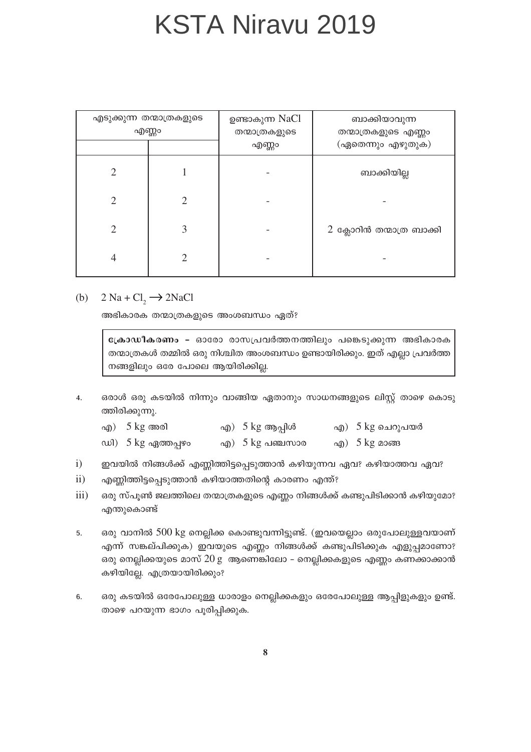| എടുക്കുന്ന തന്മാത്രകളുടെ<br>എണ്ണം |  | ഉണ്ടാകുന്ന NaCl<br>തന്മാത്രകളുടെ<br>എണ്ണം | ബാക്കിയാവുന്ന<br>തന്മാത്രകളുടെ എണ്ണം<br>(ഏതെന്നും എഴുതുക) |
|-----------------------------------|--|-------------------------------------------|-----------------------------------------------------------|
|                                   |  |                                           | ബാക്കിയില്ല                                               |
|                                   |  |                                           |                                                           |
|                                   |  |                                           | 2 ക്ലോറിൻ തന്മാത്ര ബാക്കി                                 |
| 4                                 |  |                                           |                                                           |

#### (b)  $2 \text{ Na} + \text{Cl}_2 \rightarrow 2 \text{NaCl}$

അഭികാരക തന്മാത്രകളുടെ അംശബന്ധം ഏത്?

ക്രോഡീകരണം - ഓരോ രാസപ്രവർത്തനത്തിലും പങ്കെടുക്കുന്ന അഭികാരക തന്മാത്രകൾ തമ്മിൽ ഒരു നിശ്ചിത അംശബന്ധം ഉണ്ടായിരിക്കും. ഇത് എല്ലാ പ്രവർത്ത നങ്ങളിലും ഒരേ പോലെ ആയിരിക്കില്ല.

- ഒരാൾ ഒരു കടയിൽ നിന്നും വാങ്ങിയ ഏതാനും സാധനങ്ങളുടെ ലിസ്റ്റ് താഴെ കൊടു  $\overline{4}$ . ത്തിരിക്കുന്നു.
	- എ $)$  5 kg അരി എ) 5 kg ആപ്പിൾ എ) 5 kg ചെറുപയർ ഡി)  $5 \text{ kg}$  ഏത്തപ്പഴം എ $)$  5  $kg$  പഞ്ചസാര എ $)$  5 kg മാങ്ങ
- $i)$ ഇവയിൽ നിങ്ങൾക്ക് എണ്ണിത്തിട്ടപ്പെടുത്താൻ കഴിയുന്നവ ഏവ? കഴിയാത്തവ ഏവ?
- $\mathbf{ii}$ എണ്ണിത്തിട്ടപ്പെടുത്താൻ കഴിയാത്തതിന്റെ കാരണം എന്ത്?
- $iii)$ ഒരു സ്പൂൺ ജലത്തിലെ തന്മാത്രകളുടെ എണ്ണം നിങ്ങൾക്ക് കണ്ടുപിടിക്കാൻ കഴിയുമോ? എന്തുകൊണ്ട്
- ഒരു വാനിൽ 500 kg നെല്ലിക്ക കൊണ്ടുവന്നിട്ടുണ്ട്. (ഇവയെല്ലാം ഒരുപോലുള്ളവയാണ് 5. എന്ന് സങ്കല്പിക്കുക) ഇവയുടെ എണ്ണം നിങ്ങൾക്ക് കണ്ടുപിടിക്കുക എളുപ്പമാണോ? ഒരു നെല്ലിക്കയുടെ മാസ് 20 g ആണെങ്കിലോ – നെല്ലിക്കകളുടെ എണ്ണം കണക്കാക്കാൻ കഴിയില്ലേ. എത്രയായിരിക്കും?
- ഒരു കടയിൽ ഒരേപോലുള്ള ധാരാളം നെല്ലിക്കകളും ഒരേപോലുള്ള ആപ്പിളുകളും ഉണ്ട്. 6. താഴെ പറയുന്ന ഭാഗം പൂരിപ്പിക്കുക.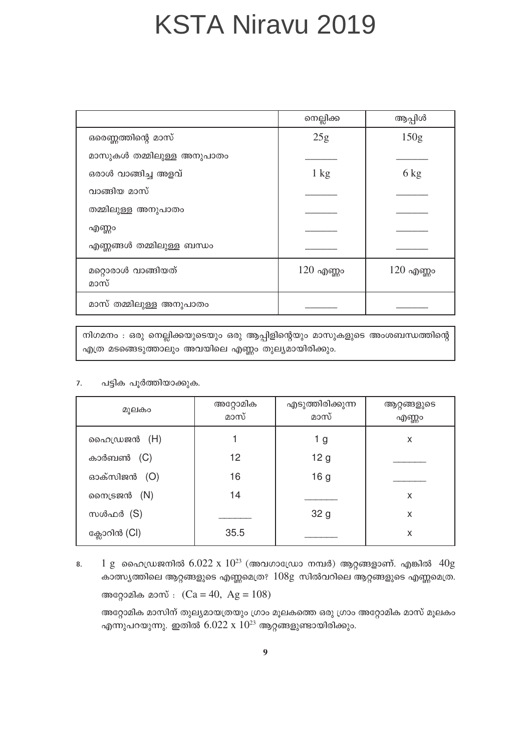|                            | നെല്ലിക്ക      | ആപ്പിൾ         |
|----------------------------|----------------|----------------|
| ഒരെണ്ണത്തിന്റെ മാസ്        | 25g            | 150g           |
| മാസുകൾ തമ്മിലുള്ള അനുപാതം  |                |                |
| ഒരാൾ വാങ്ങിച്ച അളവ്        | $1 \text{ kg}$ | $6 \text{ kg}$ |
| വാങ്ങിയ മാസ്               |                |                |
| തമ്മിലുള്ള അനുപാതം         |                |                |
| എണ്ണം                      |                |                |
| എണ്ണങ്ങൾ തമ്മിലുള്ള ബന്ധം  |                |                |
| മറ്റൊരാൾ വാങ്ങിയത്<br>മാസ് | $120$ എണ്ണം    | $120$ എണ്ണം    |
| മാസ് തമ്മിലുള്ള അനുപാതം    |                |                |

നിഗമനം : ഒരു നെല്ലിക്കയുടെയും ഒരു ആപ്പിളിന്റെയും മാസുകളുടെ അംശബന്ധത്തിന്റെ എത്ര മടങ്ങെടുത്താലും അവയിലെ എണ്ണം തുല്യമായിരിക്കും.

#### പട്ടിക പൂർത്തിയാക്കുക.  $\overline{7}$ .

| മുലകം        | അറ്റോമിക<br>മാസ് | എടുത്തിരിക്കുന്ന<br>മാസ് | ആറ്റങ്ങളുടെ<br>എണ്ണം |
|--------------|------------------|--------------------------|----------------------|
| ഹൈഡ്രജൻ (H)  |                  | 1 g                      | X                    |
| കാർബൺ (C)    | 12               | 12 <sub>g</sub>          |                      |
| ഓക്സിജൻ (O)  | 16               | 16 <sub>g</sub>          |                      |
| നൈട്രജൻ (N)  | 14               |                          | X                    |
| സൾഫർ (S)     |                  | 32 <sub>g</sub>          | X                    |
| ക്ലോറിൻ (Cl) | 35.5             |                          | X                    |

 $1 \text{ g}$  ഹൈഡ്രജനിൽ  $6.022 \text{ x } 10^{23}$  (അവഗാഡ്രോ നമ്പർ) ആറ്റങ്ങളാണ്. എങ്കിൽ  $40 \text{ g}$ 8. കാത്സ്യത്തിലെ ആറ്റങ്ങളുടെ എണ്ണമെത്ര?  $108g$  സിൽവറിലെ ആറ്റങ്ങളുടെ എണ്ണമെത്ര. അറ്റോമിക മാസ് :  $(Ca = 40, Ag = 108)$ 

അറ്റോമിക മാസിന് തുല്യമായത്രയും ഗ്രാം മൂലകത്തെ ഒരു ഗ്രാം അറ്റോമിക മാസ് മൂലകം എന്നുപറയുന്നു. ഇതിൽ  $6.022 \times 10^{23}$  ആറ്റങ്ങളുണ്ടായിരിക്കും.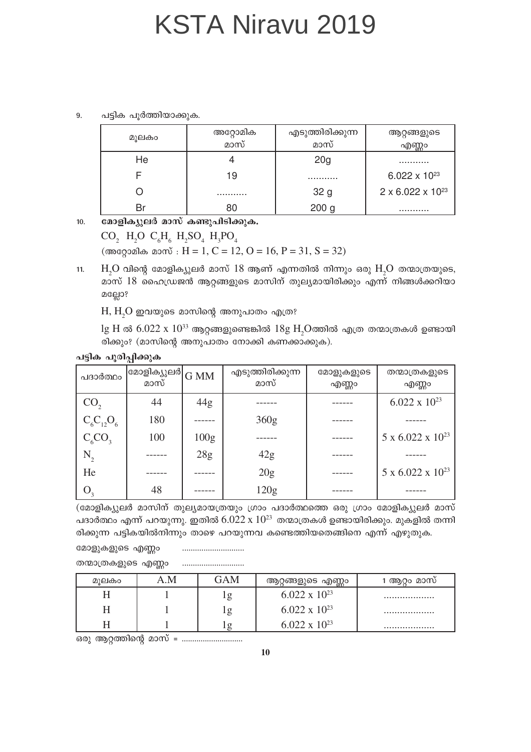പട്ടിക പൂർത്തിയാക്കുക.  $\mathbf{q}$ 

| മൂലകം | അറ്റോമിക<br>മാസ് | എടുത്തിരിക്കുന്ന<br>മാസ് | ആറ്റങ്ങളുടെ<br>എണ്ണം            |
|-------|------------------|--------------------------|---------------------------------|
| He    |                  | 20 <sub>g</sub>          | .                               |
|       | 19               | .                        | 6.022 $\times$ 10 <sup>23</sup> |
|       | .                | 32 g                     | $2 \times 6.022 \times 10^{23}$ |
|       |                  | 200 <sub>g</sub>         | .                               |

 $10.$ മോളിക്യുലർ മാസ് കണ്ടുപിടിക്കുക.

> CO<sub>2</sub> H<sub>2</sub>O C<sub>6</sub>H<sub>6</sub> H<sub>2</sub>SO<sub>4</sub> H<sub>3</sub>PO<sub>4</sub> (അറ്റോമിക മാസ് : H = 1, C = 12, O = 16, P = 31, S = 32)

 $H<sub>2</sub>O$  വിന്റെ മോളിക്യുലർ മാസ്  $18$  ആണ് എന്നതിൽ നിന്നും ഒരു  $H<sub>2</sub>O$  തന്മാത്രയുടെ,  $11.$ മാസ് 18 ഹൈഡ്രജൻ ആറ്റങ്ങളുടെ മാസിന് തുല്യമായിരിക്കും എന്ന് നിങ്ങൾക്കറിയാ മല്ലോ?

 $H, H, O$  ഇവയുടെ മാസിന്റെ അനുപാതം എത്ര?

 $\lg H$ ൽ 6.022 x  $10^{33}$  ആറ്റങ്ങളുണ്ടെങ്കിൽ  $18g H$ ,Oത്തിൽ എത്ര തന്മാത്രകൾ ഉണ്ടായി രിക്കും? (മാസിന്റെ അനുപാതം നോക്കി കണക്കാക്കുക).

| പദാർത്ഥം                    | ര്മാളിക്യുലർ $\rm \left  G\,MM\right $<br>മാസ് |                  | എടുത്തിരിക്കുന്ന<br>മാസ് | മോളുകളുടെ<br>എണ്ണം | തന്മാത്രകളുടെ<br>എണ്ണം          |
|-----------------------------|------------------------------------------------|------------------|--------------------------|--------------------|---------------------------------|
| CO <sub>2</sub>             | 44                                             | 44g              |                          |                    | $6.022 \times 10^{23}$          |
| $C_6C_{12}O_6$              | 180                                            |                  | 360g                     |                    |                                 |
| $C_6CO_3$                   | 100                                            | 100 <sub>g</sub> |                          |                    | $5 \times 6.022 \times 10^{23}$ |
| $\rm N_{_2}$                |                                                | 28g              | 42g                      |                    |                                 |
| He                          |                                                |                  | 20g                      |                    | $5 \times 6.022 \times 10^{23}$ |
| $\overline{\mathsf{O}}_{3}$ | 48                                             |                  | 120g                     |                    |                                 |

#### പട്ടിക പുരിപ്പിക്കുക

(മോളിക്യുലർ മാസിന് തുല്യമായത്രയും ഗ്രാം പദാർത്ഥത്തെ ഒരു ഗ്രാം മോളിക്യുലർ മാസ് പദാർത്ഥം എന്ന് പറയുന്നു. ഇതിൽ  $6.022 \times 10^{23}$  തന്മാത്രകൾ ഉണ്ടായിരിക്കും. മുകളിൽ തന്നി രിക്കുന്ന പട്ടികയിൽനിന്നും താഴെ പറയുന്നവ കണ്ടെത്തിയതെങ്ങിനെ എന്ന് എഴുതുക.

മോളുകളുടെ എണ്ണം 

| തന്മാത്രകളുടെ എണ്ണം |  |
|---------------------|--|
|---------------------|--|

| മൂലകം | A.M | GAM      | ആറ്റങ്ങളുടെ എണ്ണം      | 1 ആറം മാസ് |
|-------|-----|----------|------------------------|------------|
| H     |     | l g      | $6.022 \times 10^{23}$ |            |
| H     |     | lg       | 6.022 x $10^{23}$      |            |
|       |     | $\sigma$ | $6.022 \times 10^{23}$ |            |

ഒരു ആറ്റത്തിന്റെ മാസ് = ..............................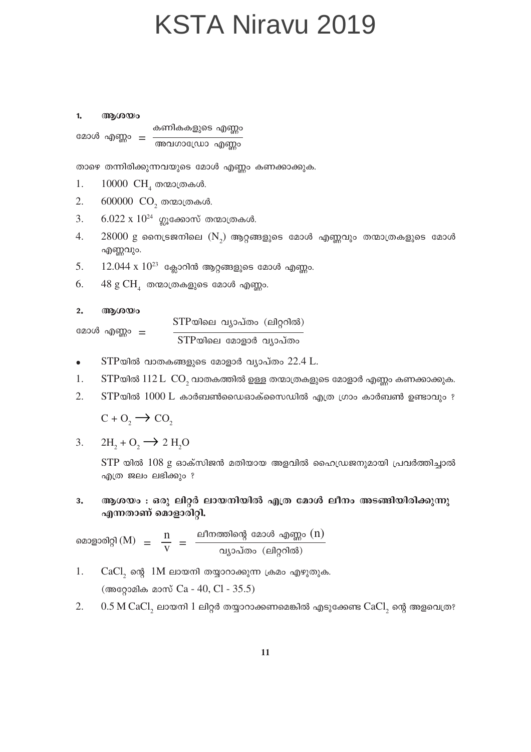$\mathbf{1}$ ആശയം കണികകളുടെ എണ്ണം മോൾ എണ്ണം = <del>അവഗാഡ്രോ എണ്ണം</del>

താഴെ തന്നിരിക്കുന്നവയുടെ മോൾ എണ്ണം കണക്കാക്കുക.

- $10000$  CH<sub> $_A$ </sub> തന്മാത്രകൾ. 1.
- $2.$ 600000 CO<sub>2</sub> തന്മാത്രകൾ.
- 3.  $6.022 \times 10^{24}$  ഗ്ലൂക്കോസ് തന്മാത്രകൾ.
- $28000$  g നൈട്രജനിലെ  $(N_2)$  ആറ്റങ്ങളുടെ മോൾ എണ്ണവും തന്മാത്രകളുടെ മോൾ 4. എണ്ണവും.
- $12.044 \times 10^{23}$  ക്ലോറിൻ ആറ്റങ്ങളുടെ മോൾ എണ്ണം. 5.
- 6.  $48 \text{ g } \text{CH}_4$  തന്മാത്രകളുടെ മോൾ എണ്ണം.

 $2.$ ആശയം

മോൾ എണ്ണം 
$$
= \frac{\text{STP<sub>യിലെ വ്യാപ്തേര (ലിറ്ററിൽ)  
STP<sub>യിലെ മോളാർ വ്യാപ്തം</sub></sub>
$$

- $STP$ യിൽ വാതകങ്ങളുടെ മോളാർ വ്യാപ്തം  $22.4$  L.  $\bullet$
- 1.  $STP$ യിൽ  $112 L CO$ , വാതകത്തിൽ ഉള്ള തന്മാത്രകളുടെ മോളാർ എണ്ണം കണക്കാക്കുക.
- $2.$  $STP$ യിൽ  $1000$  L കാർബൺഡൈഓക്സൈഡിൽ എത്ര ഗ്രാം കാർബൺ ഉണ്ടാവും ?

 $C + O_2 \rightarrow CO_2$ 

 $2H_1 + O_2 \rightarrow 2H_2O$ 3.

> $STP$  യിൽ  $108$  g ഓക്സിജൻ മതിയായ അളവിൽ ഹൈഡ്രജനുമായി പ്രവർത്തിച്ചാൽ എത്ര ജലം ലഭിക്കും ?

ആശയം : ഒരു ലിറ്റർ ലായനിയിൽ എത്ര മോൾ ലീനം അടങ്ങിയിരിക്കുന്നു 3. എന്നതാണ് മൊളാരിറ്റി.

മൊളാരിറ്റി (M) =  $\frac{n}{v}$  =  $\frac{$ ലീനത്തിന്റെ മോൾ എണ്ണം (n)<br>വ്യാപ്തം (ലിറ്ററിൽ)

- 1.  $CaCl<sub>2</sub>$  ന്റെ  $1M$  ലായനി തയ്യാറാക്കുന്ന ക്രമം എഴുതുക. (അറ്റോമിക മാസ് Ca - 40, Cl - 35.5)
- 2.  $0.5$  M CaCl, ലായനി  $1$  ലിറ്റർ തയ്യാറാക്കണമെങ്കിൽ എടുക്കേണ്ട CaCl, ന്റെ അളവെത്ര?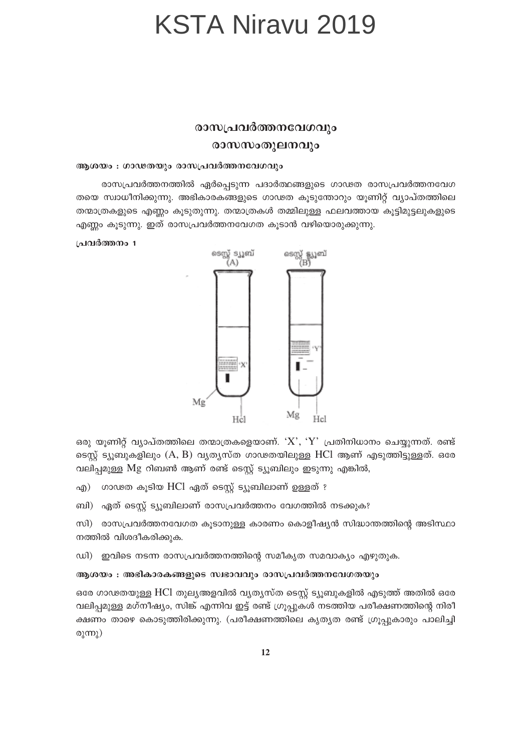#### രാസപ്രവർത്തനവേഗവും രാസസംതുലനവും

#### ആശയം : ഗാഢതയും രാസപ്രവർത്തനവേഗവും

രാസപ്രവർത്തനത്തിൽ ഏർപ്പെടുന്ന പദാർത്ഥങ്ങളുടെ ഗാഢത രാസപ്രവർത്തനവേഗ തയെ സ്വാധീനിക്കുന്നു. അഭികാരകങ്ങളുടെ ഗാഢത കൂടുന്തോറും യൂണിറ്റ് വ്യാപ്തത്തിലെ തന്മാത്രകളുടെ എണ്ണം കൂടുതുന്നു. തന്മാത്രകൾ തമ്മിലുള്ള ഫലവത്തായ കൂട്ടിമുട്ടലുകളുടെ എണ്ണം കൂടുന്നു. ഇത് രാസപ്രവർത്തനവേഗത കൂടാൻ വഴിയൊരുക്കുന്നു.

#### പ്രവർത്തനം 1



ഒരു യൂണിറ്റ് വ്യാപ്തത്തിലെ തന്മാത്രകളെയാണ്. ' $X^{\prime}, Y^{\prime}$  പ്രതിനിധാനം ചെയ്യുന്നത്. രണ്ട് ടെസ്റ്റ് ട്യൂബുകളിലും (A, B) വ്യത്യസ്ത ഗാഢതയിലുള്ള HCl ആണ് എടുത്തിട്ടുള്ളത്. ഒരേ വലിപ്പമുള്ള Mg റിബൺ ആണ് രണ്ട് ടെസ്റ്റ് ട്യൂബിലും ഇടുന്നു എങ്കിൽ,

ഗാഢത കൂടിയ HCl ഏത് ടെസ്റ്റ് ട്യൂബിലാണ് ഉള്ളത് ? എ)

ബി) ഏത് ടെസ്റ്റ് ട്യൂബിലാണ് രാസപ്രവർത്തനം വേഗത്തിൽ നടക്കുക?

സി) രാസപ്രവർത്തനവേഗത കൂടാനുള്ള കാരണം കൊളീഷ്യൻ സിദ്ധാന്തത്തിന്റെ അടിസ്ഥാ നത്തിൽ വിശദീകരിക്കുക.

ഡി) ഇവിടെ നടന്ന രാസപ്രവർത്തനത്തിന്റെ സമീകൃത സമവാക്യം എഴുതുക.

#### ആശയം : അഭികാരകങ്ങളുടെ സ്വഭാവവും രാസപ്രവർത്തനവേഗതയും

ഒരേ ഗാഢതയുള്ള HCl തുലൃഅളവിൽ വൃതൃസ്ത ടെസ്റ്റ് ട്യൂബുകളിൽ എടുത്ത് അതിൽ ഒരേ വലിപ്പമുള്ള മഗ്നീഷ്യം, സിങ്ക് എന്നിവ ഇട്ട് രണ്ട് ഗ്രൂപ്പുകൾ നടത്തിയ പരീക്ഷണത്തിന്റെ നിരീ ക്ഷണം താഴെ കൊടുത്തിരിക്കുന്നു. (പരീക്ഷണത്തിലെ കൃതൃത രണ്ട് ഗ്രൂപ്പുകാരും പാലിച്ചി രുന്നു)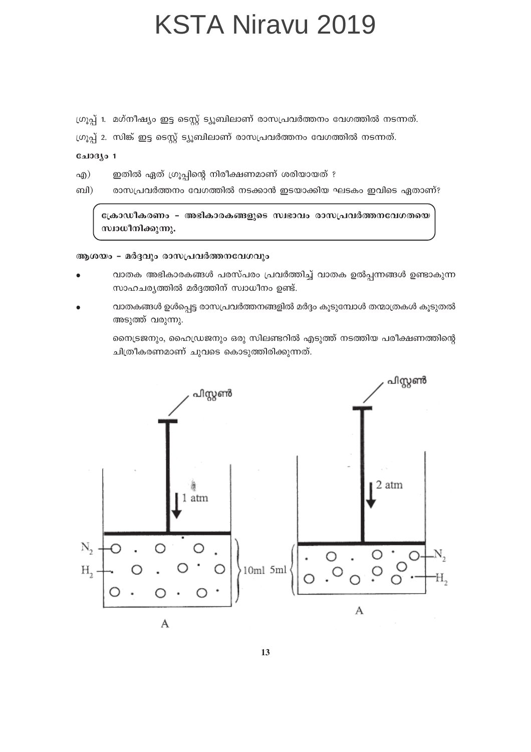ഗ്രൂപ്പ് 1. മഗ്നീഷ്യം ഇട്ട ടെസ്റ്റ് ട്യൂബിലാണ് രാസപ്രവർത്തനം വേഗത്തിൽ നടന്നത്.

ഗ്രൂപ്പ് 2. സിങ്ക് ഇട്ട ട്യൈ ട്യൂബിലാണ് രാസപ്രവർത്തനം വേഗത്തിൽ നടന്നത്.

ചോദ്യം 1

- ഇതിൽ ഏത് ഗ്രൂപ്പിന്റെ നിരീക്ഷണമാണ് ശരിയായത് ? എ)
- ബി) രാസപ്രവർത്തനം വേഗത്തിൽ നടക്കാൻ ഇടയാക്കിയ ഘടകം ഇവിടെ ഏതാണ്?

ക്രോഡീകരണം – അഭികാരകങ്ങളുടെ സ്വഭാവം രാസപ്രവർത്തനവേഗതയെ സ്വാധീനിക്കുന്നു.

#### ആശയം - മർദ്ദവും രാസപ്രവർത്തനവേഗവും

- വാതക അഭികാരകങ്ങൾ പരസ്പരം പ്രവർത്തിച്ച് വാതക ഉൽപ്പന്നങ്ങൾ ഉണ്ടാകുന്ന സാഹചര്യത്തിൽ മർദ്ദത്തിന് സ്വാധീനം ഉണ്ട്.
- വാതകങ്ങൾ ഉൾപ്പെട്ട രാസപ്രവർത്തനങ്ങളിൽ മർദ്ദം കൂടുമ്പോൾ തന്മാത്രകൾ കൂടുതൽ അടുത്ത് വരുന്നു.

നൈട്രജനും, ഹൈഡ്രജനും ഒരു സിലണ്ടറിൽ എടുത്ത് നടത്തിയ പരീക്ഷണത്തിന്റെ ചിത്രീകരണമാണ് ചുവടെ കൊടുത്തിരിക്കുന്നത്.

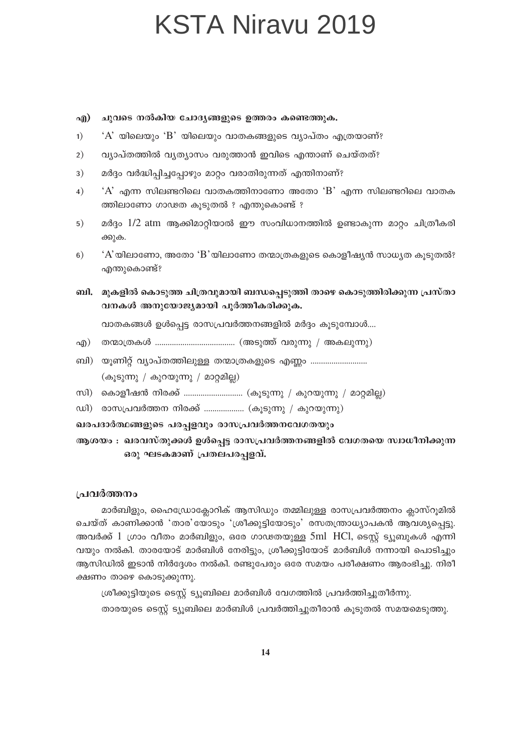ചുവടെ നൽകിയ ചോദ്യങ്ങളുടെ ഉത്തരം കണ്ടെത്തുക.  $\alpha$ 

- $1)$  $A$  യിലെയും 'B' യിലെയും വാതകങ്ങളുടെ വ്യാപ്തം എത്രയാണ്?
- വ്യാപ്തത്തിൽ വ്യത്യാസം വരുത്താൻ ഇവിടെ എന്താണ് ചെയ്തത്?  $2)$
- മർദ്ദം വർദ്ധിപ്പിച്ചപ്പോഴും മാറ്റം വരാതിരുന്നത് എന്തിനാണ്?  $3)$
- $A'$  എന്ന സിലണ്ടറിലെ വാതകത്തിനാണോ അതോ  $B'$  എന്ന സിലണ്ടറിലെ വാതക  $4)$ ത്തിലാണോ ഗാഢത കൂടുതൽ ? എന്തുകൊണ്ട് ?
- മർദ്ദം 1/2 atm ആക്കിമാറ്റിയാൽ ഈ സംവിധാനത്തിൽ ഉണ്ടാകുന്ന മാറ്റം ചിത്രീകരി  $5)$ ക്കുക.
- $A$ 'യിലാണോ, അതോ 'B'യിലാണോ തന്മാത്രകളുടെ കൊളീഷ്യൻ സാധ്യത കൂടുതൽ?  $6)$ എന്തുകൊണ്ട്?
- ബി. \_ മുകളിൽ കൊടുത്ത ചിത്രവുമായി ബന്ധപ്പെടുത്തി താഴെ കൊടുത്തിരിക്കുന്ന പ്രസ്താ വനകൾ അനുയോജ്യമായി പൂർത്തീകരിക്കുക.

വാതകങ്ങൾ ഉൾപ്പെട്ട രാസപ്രവർത്തനങ്ങളിൽ മർദ്ദം കൂടുമ്പോൾ....

- 
- ബി) യൂണിറ്റ് വ്യാപ്തത്തിലുള്ള തന്മാത്രകളുടെ എണ്ണം ............................. (കൂടുന്നു / കുറയുന്നു / മാറ്റമില്ല)
- സി) കൊളീഷൻ നിരക്ക് ……………………… (കൂടുന്നു / കുറയുന്നു / മാറ്റമില്ല)
- ഡി) രാസപ്രവർത്തന നിരക്ക് ................... (കൂടുന്നു / കുറയുന്നു)

ഖരപദാർത്ഥങ്ങളുടെ പരപ്പളവും രാസപ്രവർത്തനവേഗതയും

ആശയം : ഖരവസ്തുക്കൾ ഉൾപ്പെട്ട രാസപ്രവർത്തനങ്ങളിൽ വേഗതയെ സ്വാധീനിക്കുന്ന ഒരു ഘടകമാണ് പ്രതലപരപ്പളവ്.

#### പ്രവർത്തനം

മാർബിളും, ഹൈഡ്രോക്ലോറിക് ആസിഡും തമ്മിലുള്ള രാസപ്രവർത്തനം ക്ലാസ്റൂമിൽ ചെയ്ത് കാണിക്കാൻ 'താര'യോടും 'ശ്രീക്കുട്ടിയോടും' രസതന്ത്രാധ്യാപകൻ ആവശ്യപ്പെട്ടു. അവർക്ക് 1 ഗ്രാം വീതം മാർബിളും, ഒരേ ഗാഢതയുള്ള 5ml HCl, ടെസ്റ്റ് ട്യൂബുകൾ എന്നി വയും നൽകി. താരയോട് മാർബിൾ നേരിട്ടും, ശ്രീക്കുട്ടിയോട് മാർബിൾ നന്നായി പൊടിച്ചും ആസിഡിൽ ഇടാൻ നിർദ്ദേശം നൽകി. രണ്ടുപേരും ഒരേ സമയം പരീക്ഷണം ആരംഭിച്ചു. നിരീ ക്ഷണം താഴെ കൊടുക്കുന്നു.

ശ്രീക്കുട്ടിയുടെ ടെസ്റ്റ് ട്യുബിലെ മാർബിൾ വേഗത്തിൽ പ്രവർത്തിച്ചുതീർന്നു. താരയുടെ ടെസ്റ്റ് ട്യൂബിലെ മാർബിൾ പ്രവർത്തിച്ചുതീരാൻ കൂടുതൽ സമയമെടുത്തു.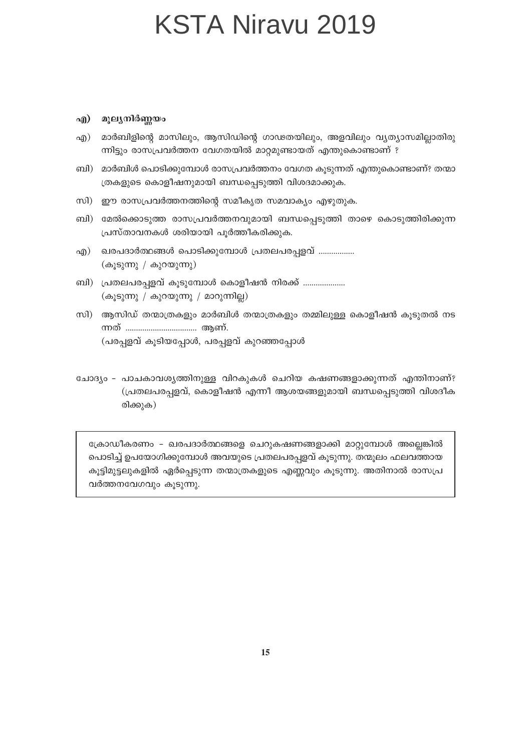#### എ) മൂല്യനിർണ്ണയം

- മാർബിളിന്റെ മാസിലും, ആസിഡിന്റെ ഗാഢതയിലും, അളവിലും വ്യത്യാസമില്ലാതിരു എ) ന്നിട്ടും രാസപ്രവർത്തന വേഗതയിൽ മാറ്റമുണ്ടായത് എന്തുകൊണ്ടാണ് ?
- ബി) മാർബിൾ പൊടിക്കുമ്പോൾ രാസപ്രവർത്തനം വേഗത കൂടുന്നത് എന്തുകൊണ്ടാണ്? തന്മാ ത്രകളുടെ കൊളീഷനുമായി ബന്ധപ്പെടുത്തി വിശദമാക്കുക.
- സി) ഈ രാസപ്രവർത്തനത്തിന്റെ സമീകൃത സമവാക്യം എഴുതുക.
- ബി) മേൽക്കൊടുത്ത രാസപ്രവർത്തനവുമായി ബന്ധപ്പെടുത്തി താഴെ കൊടുത്തിരിക്കുന്ന പ്രസ്താവനകൾ ശരിയായി പൂർത്തീകരിക്കുക.
- ഖരപദാർത്ഥങ്ങൾ പൊടിക്കുമ്പോൾ പ്രതലപരപ്പളവ് ................ എ) (കൂടുന്നു / കുറയുന്നു)
- ബി) പ്രതലപരപ്പളവ് കൂടുമ്പോൾ കൊളീഷൻ നിരക്ക് .................... (കൂടുന്നു / കുറയുന്നു / മാറുന്നില്ല)
- സി) ആസിഡ് തന്മാത്രകളും മാർബിൾ തന്മാത്രകളും തമ്മിലുള്ള കൊളീഷൻ കൂടുതൽ നട (പരപ്പളവ് കൂടിയപ്പോൾ, പരപ്പളവ് കുറഞ്ഞപ്പോൾ
- ചോദ്യം പാചകാവശ്യത്തിനുള്ള വിറകുകൾ ചെറിയ കഷണങ്ങളാക്കുന്നത് എന്തിനാണ്? (പ്രതലപരപ്പളവ്, കൊളീഷൻ എന്നീ ആശയങ്ങളുമായി ബന്ധപ്പെടുത്തി വിശദീക രിക്കുക)

ക്രോഡീകരണം - ഖരപദാർത്ഥങ്ങളെ ചെറുകഷണങ്ങളാക്കി മാറ്റുമ്പോൾ അല്ലെങ്കിൽ പൊടിച്ച് ഉപയോഗിക്കുമ്പോൾ അവയുടെ പ്രതലപരപ്പളവ് കൂടുന്നു. തന്മൂലം ഫലവത്തായ കൂട്ടിമുട്ടലുകളിൽ ഏർപ്പെടുന്ന തന്മാത്രകളുടെ എണ്ണവും കൂടുന്നു. അതിനാൽ രാസപ്ര വർത്തനവേഗവും കുടുന്നു.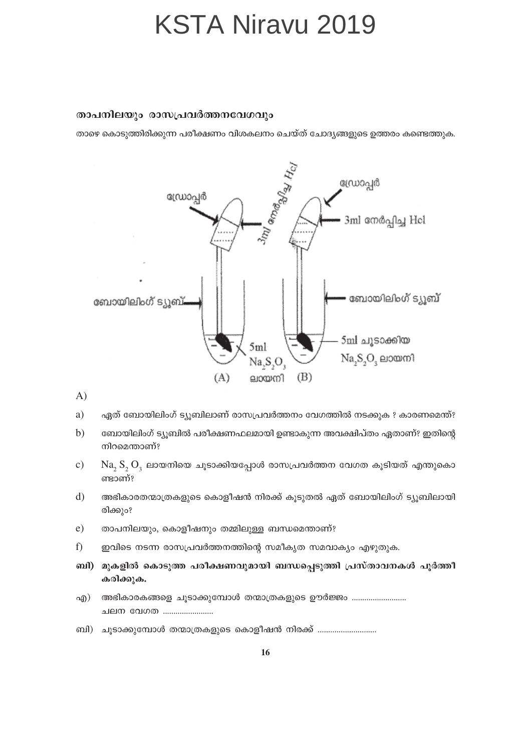#### താപനിലയും രാസപ്രവർത്തനവേഗവും

താഴെ കൊടുത്തിരിക്കുന്ന പരീക്ഷണം വിശകലനം ചെയ്ത് ചോദ്യങ്ങളുടെ ഉത്തരം കണ്ടെത്തുക.



 $\bf{A}$ 

- a) ഏത് ബോയിലിംഗ് ട്യൂബിലാണ് രാസപ്രവർത്തനം വേഗത്തിൽ നടക്കുക ? കാരണമെന്ത്?
- ബോയിലിംഗ് ട്യൂബിൽ പരീക്ഷണഫലമായി ഉണ്ടാകുന്ന അവക്ഷിപ്തം ഏതാണ്? ഇതിന്റെ  $b)$ നിറമെന്താണ്?
- $Na, S, O$  ലായനിയെ ചൂടാക്കിയപ്പോൾ രാസപ്രവർത്തന വേഗത കൂടിയത് എന്തുകൊ  $\mathbf{c})$ ണ്ടാണ്?
- അഭികാരതന്മാത്രകളുടെ കൊളീഷൻ നിരക്ക് കൂടുതൽ ഏത് ബോയിലിംഗ് ട്യൂബിലായി  $\mathbf{d}$ രിക്കും?
- $e)$ താപനിലയും, കൊളീഷനും തമ്മിലുള്ള ബന്ധമെന്താണ്?
- $f$ ഇവിടെ നടന്ന രാസപ്രവർത്തനത്തിന്റെ സമീകൃത സമവാക്യം എഴുതുക.
- ബി) മുകളിൽ കൊടുത്ത പരീക്ഷണവുമായി ബന്ധപ്പെടുത്തി പ്രസ്താവനകൾ പൂർത്തീ കരിക്കുക.
- അഭികാരകങ്ങളെ ചൂടാക്കുമ്പോൾ തന്മാത്രകളുടെ ഊർജ്ജം ........................... എ) ചലന വേഗത .......................
- ബി) ചൂടാക്കുമ്പോൾ തന്മാത്രകളുടെ കൊളീഷൻ നിരക്ക് .............................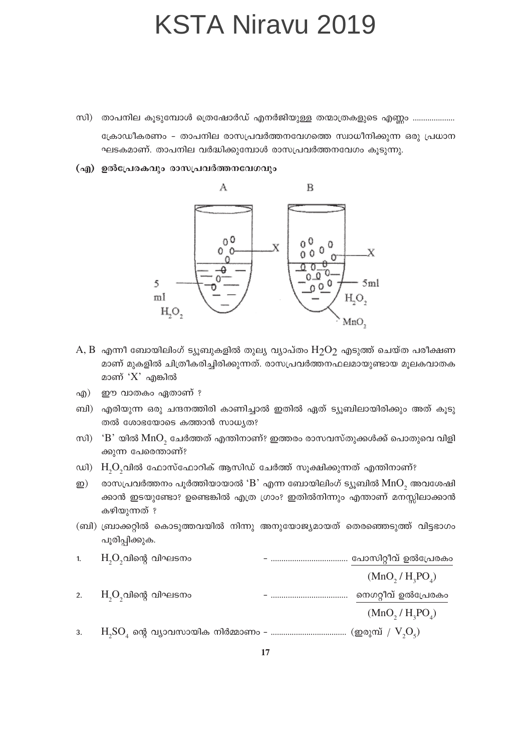- സി) താപനില കൂടുമ്പോൾ ത്രെഷോർഡ് എനർജിയുള്ള തന്മാത്രകളുടെ എണ്ണം .................... ക്രോഡീകരണം – താപനില രാസപ്രവർത്തനവേഗത്തെ സ്വാധീനിക്കുന്ന ഒരു പ്രധാന ഘടകമാണ്. താപനില വർദ്ധിക്കുമ്പോൾ രാസപ്രവർത്തനവേഗം കൂടുന്നു.
- (എ) ഉൽപ്രേരകവും രാസപ്രവർത്തനവേഗവും



- $A, B$  എന്നീ ബോയിലിംഗ് ട്യൂബുകളിൽ തുല്യ വ്യാപ്തം  $H_2O_2$  എടുത്ത് ചെയ്ത പരീക്ഷണ മാണ് മുകളിൽ ചിത്രീകരിച്ചിരിക്കുന്നത്. രാസപ്രവർത്തനഫലമായുണ്ടായ മൂലകവാതക മാണ് ' $X$ ' എങ്കിൽ
- ഈ വാതകം ഏതാണ് ? എ)
- ബി) എരിയുന്ന ഒരു ചന്ദനത്തിരി കാണിച്ചാൽ ഇതിൽ ഏത് ട്യൂബിലായിരിക്കും അത് കൂടു തൽ ശോഭയോടെ കത്താൻ സാധ്യത?
- സി)  $\cdot$ B' യിൽ MnO, ചേർത്തത് എന്തിനാണ്? ഇത്തരം രാസവസ്തുക്കൾക്ക് പൊതുവെ വിളി ക്കുന്ന പേരെന്താണ്?
- ഡി) H<sub>2</sub>O<sub>2</sub>വിൽ ഫോസ്ഫോറിക് ആസിഡ് ചേർത്ത് സൂക്ഷിക്കുന്നത് എന്തിനാണ്?
- രാസപ്രവർത്തനം പൂർത്തിയായാൽ ' $B$ ' എന്ന ബോയിലിംഗ് ട്യൂബിൽ  $MnO$ , അവശേഷി ഇ) ക്കാൻ ഇടയുണ്ടോ? ഉണ്ടെങ്കിൽ എത്ര ഗ്രാം? ഇതിൽനിന്നും എന്താണ് മനസ്സിലാക്കാൻ കഴിയുന്നത് ?
- (ബി) ബ്രാക്കറ്റിൽ കൊടുത്തവയിൽ നിന്നു അനുയോജ്യമായത് തെരഞ്ഞെടുത്ത് വിട്ടഭാഗം പൂരിപ്പിക്കുക.

| 1. | $\mathrm{H}_\mathrm{s}\mathrm{O}_\mathrm{s}$ വിന്റെ വിഘടനം                                            | പോസിറ്റീവ് ഉൽപ്രേരകം                     |
|----|-------------------------------------------------------------------------------------------------------|------------------------------------------|
|    |                                                                                                       | $(MnO, / H_1PO_A)$                       |
| 2. | $\mathrm{H}_\mathrm{s}\mathrm{O}_\mathrm{s}$ വിന്റെ വിഘടനം                                            | നെഗറ്റീവ് ഉൽപ്രേരകം                      |
|    |                                                                                                       | (MnO, / H <sub>3</sub> PO <sub>4</sub> ) |
| 3. | $H_{\rm s}SO_{\rm a}$ ന്റെ വ്യാവസായിക നിർമ്മാണം – ………………………………… (ഇരുമ്പ് / $\rm V_{\rm s}O_{\rm s}$ ) |                                          |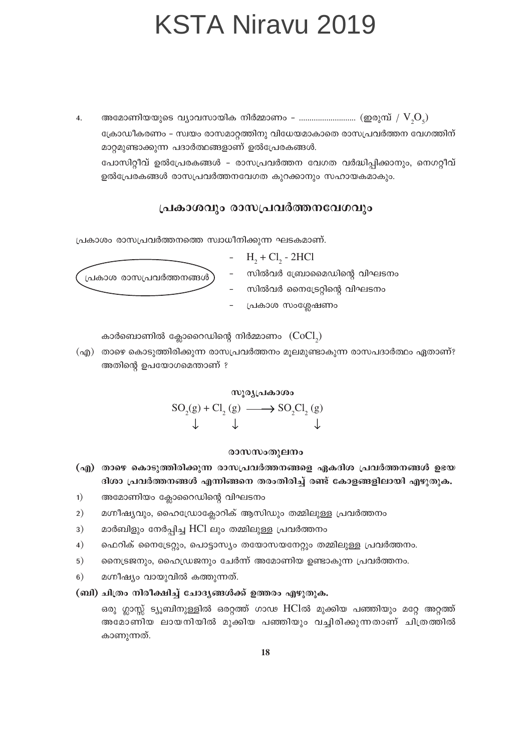$\overline{4}$ . ക്രോഡീകരണം – സ്വയം രാസമാറ്റത്തിനു വിധേയമാകാതെ രാസപ്രവർത്തന വേഗത്തിന് മാറ്റമുണ്ടാക്കുന്ന പദാർത്ഥങ്ങളാണ് ഉൽപ്രേരകങ്ങൾ. പോസിറ്റീവ് ഉൽപ്രേരകങ്ങൾ – രാസപ്രവർത്തന വേഗത വർദ്ധിപ്പിക്കാനും, നെഗറ്റീവ് ഉൽപ്രേരകങ്ങൾ രാസപ്രവർത്തനവേഗത കുറക്കാനും സഹായകമാകും.

#### പ്രകാശവും രാസപ്രവർത്തനവേഗവും

പ്രകാശം രാസപ്രവർത്തനത്തെ സ്വാധീനിക്കുന്ന ഘടകമാണ്.

-  $H_2 + Cl_2 - 2HCl$ 

പ്രകാശ രാസപ്രവർത്തനങ്ങൾ )

- സിൽവർ ബ്രോമൈഡിന്റെ വിഘടനം
- സിൽവർ നൈട്രേറ്റിന്റെ വിഘടനം
- പ്രകാശ സംശ്ലേഷണം

കാർബൊണിൽ ക്ലോറൈഡിന്റെ നിർമ്മാണം  $(CoCl<sub>2</sub>)$ 

(എ) താഴെ കൊടുത്തിരിക്കുന്ന രാസപ്രവർത്തനം മൂലമുണ്ടാകുന്ന രാസപദാർത്ഥം ഏതാണ്? അതിന്റെ ഉപയോഗമെന്താണ് ?

സൂര്യപ്രകാശം

 $SO_2(g) + Cl_2(g) \longrightarrow SO_2Cl_2(g)$ 

#### രാസസംതുലനം

- (എ) താഴെ കൊടുത്തിരിക്കുന്ന രാസപ്രവർത്തനങ്ങളെ ഏകദിശ പ്രവർത്തനങ്ങൾ ഉഭയ ദിശാ പ്രവർത്തനങ്ങൾ എന്നിങ്ങനെ തരംതിരിച്ച് രണ്ട് കോളങ്ങളിലായി എഴുതുക.
- അമോണിയം ക്ലോറൈഡിന്റെ വിഘടനം  $1)$
- മഗ്നീഷ്യവും, ഹൈഡ്രോക്ലോറിക് ആസിഡും തമ്മിലുള്ള പ്രവർത്തനം  $2)$
- $3)$ മാർബിളും നേർപ്പിച്ച HCl ലും തമ്മിലുള്ള പ്രവർത്തനം
- ഫെറിക് നൈട്രേറ്റും, പൊട്ടാസ്യം തയോസയനേറ്റും തമ്മിലുള്ള പ്രവർത്തനം.  $4)$
- നൈട്രജനും, ഹൈഡ്രജനും ചേർന്ന് അമോണിയ ഉണ്ടാകുന്ന പ്രവർത്തനം.  $5)$
- മഗ്നീഷ്യം വായുവിൽ കത്തുന്നത്.  $6)$

#### (ബി) ചിത്രം നിരീക്ഷിച്ച് ചോദ്യങ്ങൾക്ക് ഉത്തരം എഴുതുക.

ഒരു ഗ്ലാസ്സ് ട്യൂബിനുള്ളിൽ ഒരറ്റത്ത് ഗാഢ HClൽ മുക്കിയ പഞ്ഞിയും മറ്റേ അറ്റത്ത് അമോണിയ ലായനിയിൽ മുക്കിയ പഞ്ഞിയും വച്ചിരിക്കുന്നതാണ് ചിത്രത്തിൽ കാണുന്നത്.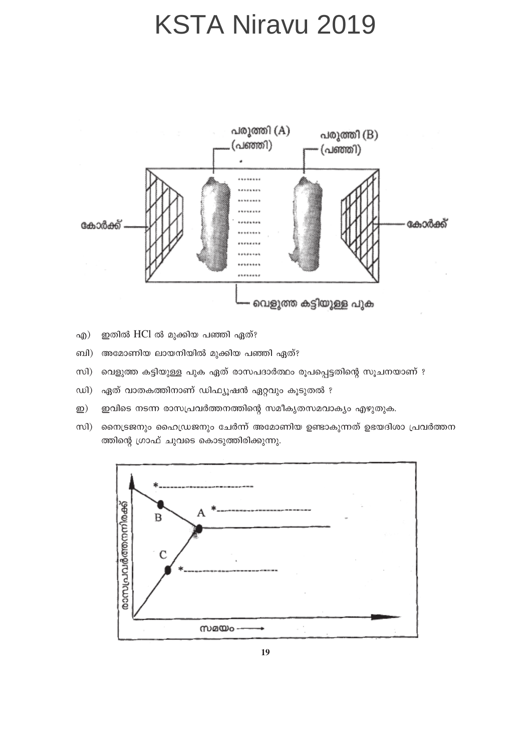

- ഇതിൽ HCl ൽ മുക്കിയ പഞ്ഞി ഏത്? എ $)$
- അമോണിയ ലായനിയിൽ മുക്കിയ പഞ്ഞി ഏത്? ബി)
- $m$ വെളുത്ത കട്ടിയുള്ള പുക ഏത് രാസപദാർത്ഥം രൂപപ്പെട്ടതിന്റെ സൂചനയാണ് ?
- $\omega$ ഏത് വാതകത്തിനാണ് ഡിഫ്യൂഷൻ ഏറ്റവും കൂടുതൽ ?
- $\underline{\mathfrak{D}})$ ഇവിടെ നടന്ന രാസപ്രവർത്തനത്തിന്റെ സമീകൃതസമവാക്യം എഴുതുക.
- നൈട്രജനും ഹൈഡ്രജനും ചേർന്ന് അമോണിയ ഉണ്ടാകുന്നത് ഉഭയദിശാ പ്രവർത്തന സി) ത്തിന്റെ ഗ്രാഫ് ചുവടെ കൊടുത്തിരിക്കുന്നു.

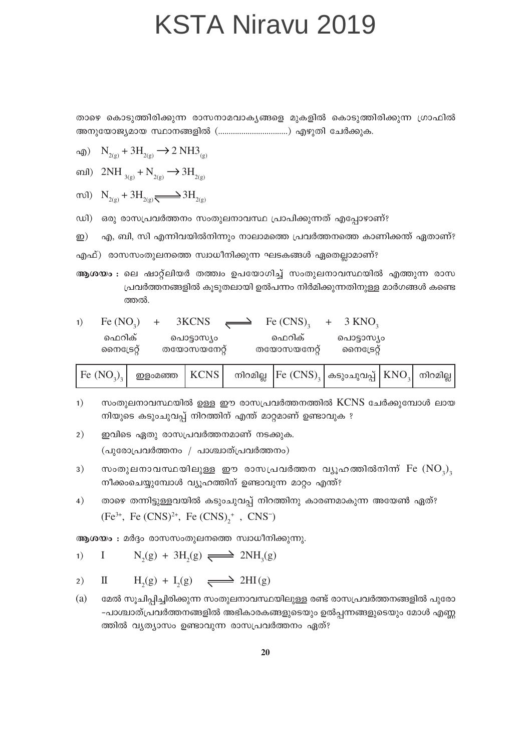താഴെ കൊടുത്തിരിക്കുന്ന രാസനാമവാകൃങ്ങളെ മുകളിൽ കൊടുത്തിരിക്കുന്ന ഗ്രാഫിൽ 

$$
\text{adj}) \quad \text{N}_{2\text{(g)}} + 3\text{H}_{2\text{(g)}} \longrightarrow 2\text{ NH3}_{\text{(g)}}
$$

ബി)  $2NH_{3(s)} + N_{2(s)} \rightarrow 3H_{2(s)}$ 

$$
\text{vol}) \quad N_{2(g)} + 3H_{2(g)} \longrightarrow 3H_{2(g)}
$$

ഡി) ഒരു രാസപ്രവർത്തനം സംതുലനാവസ്ഥ പ്രാപിക്കുന്നത് എപ്പോഴാണ്?

എ, ബി, സി എന്നിവയിൽനിന്നും നാലാമത്തെ പ്രവർത്തനത്തെ കാണിക്കന്ത് ഏതാണ്? ഇ)

ആശയം : ലെ ഷാറ്റ്ലിയർ തത്ത്വം ഉപയോഗിച്ച് സംതുലനാവസ്ഥയിൽ എത്തുന്ന രാസ പ്രവർത്തനങ്ങളിൽ കൂടുതലായി ഉൽപന്നം നിർമിക്കുന്നതിനുള്ള മാർഗങ്ങൾ കണ്ടെ ത്തൽ.

| Fe $(NO2)$ | $3KCNS \implies$<br>$+$ | Fe $(CNS)$ , | $+$ 3 KNO <sub>2</sub> |
|------------|-------------------------|--------------|------------------------|
| ഫെറിക്     | പൊട്ടാസ്യം              | ഫെറിക്       | പൊട്ടാസ്യം             |
| സൈട്രേറ്റ് | തയോസയനേറ്റ്             | തയോസയനേറ്റ്  | സൈട്രേറ്റ്             |

|  | $\big\vert$ Fe ${\rm (NO_3)_3}\big\vert$ . ഇളംമഞ്ഞ $\big\vert$ KCNS $\big\vert$ . നിറമില്ല. $\big\vert$ Fe ${\rm (CNS)_3}\big\vert$ കടുംചുവപ്പ് $\big\vert$ KNO $_3\big\vert$ . നിറമില്ല $\big\vert$ |  |  |  |  |  |  |
|--|------------------------------------------------------------------------------------------------------------------------------------------------------------------------------------------------------|--|--|--|--|--|--|
|--|------------------------------------------------------------------------------------------------------------------------------------------------------------------------------------------------------|--|--|--|--|--|--|

- സംതുലനാവസ്ഥയിൽ ഉള്ള ഈ രാസപ്രവർത്തനത്തിൽ KCNS ചേർക്കുമ്പോൾ ലായ  $1)$ നിയുടെ കടുംചുവപ്പ് നിറത്തിന് എന്ത് മാറ്റമാണ് ഉണ്ടാവുക ?
- $2)$ ഇവിടെ ഏതു രാസപ്രവർത്തനമാണ് നടക്കുക. (പുരോപ്രവർത്തനം / പാശ്ചാത്പ്രവർത്തനം)
- സംതുലനാവസ്ഥയിലുള്ള ഈ രാസപ്രവർത്തന വ്യൂഹത്തിൽനിന്ന്  $Fe~(\mathrm{NO}_3)$  $3)$ നീക്കംചെയ്യുമ്പോൾ വ്യൂഹത്തിന് ഉണ്ടാവുന്ന മാറ്റം എന്ത്?
- താഴെ തന്നിട്ടുള്ളവയിൽ കടുംചുവപ്പ് നിറത്തിനു കാരണമാകുന്ന അയേൺ ഏത്?  $4)$  $(Fe^{3+}, Fe(CNS)^{2+}, Fe(CNS)^{+}, CNS^{-})$

ആശയം : മർദ്ദം രാസസംതുലനത്തെ സ്വാധീനിക്കുന്നു.

$$
1) \qquad I \qquad N_2(g) + 3H_2(g) \longrightarrow 2NH_3(g)
$$

 $H<sub>2</sub>(g) + I<sub>2</sub>(g) \implies 2HI(g)$  $\mathbf I$  $2)$ 

(a) മേൽ സൂചിപ്പിച്ചിരിക്കുന്ന സംതുലനാവസ്ഥയിലുള്ള രണ്ട് രാസപ്രവർത്തനങ്ങളിൽ പുരോ -പാശ്ചാത്പ്രവർത്തനങ്ങളിൽ അഭികാരകങ്ങളുടെയും ഉൽപ്പന്നങ്ങളുടെയും മോൾ എണ്ണ ത്തിൽ വ്യത്യാസം ഉണ്ടാവുന്ന രാസപ്രവർത്തനം ഏത്?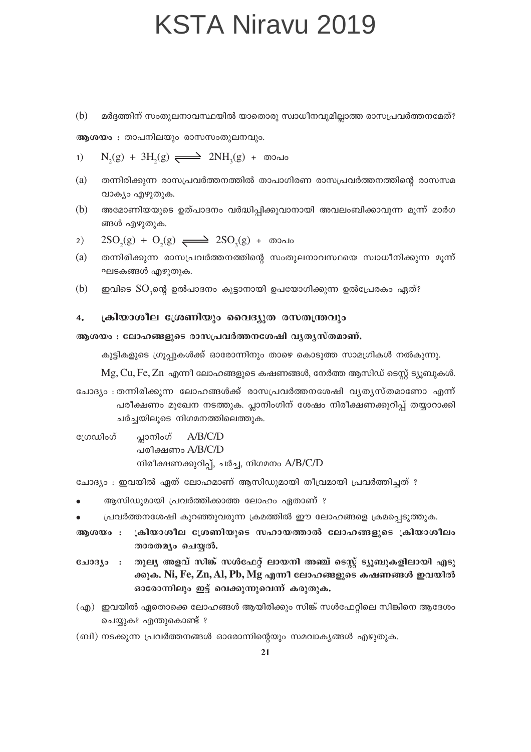മർദ്ദത്തിന് സംതുലനാവസ്ഥയിൽ യാതൊരു സ്വാധീനവുമില്ലാത്ത രാസപ്രവർത്തനമേത്? (b)

ആശയം : താപനിലയും രാസസംതുലനവും.

1) N<sub>2</sub>(g) + 3H<sub>2</sub>(g) 
$$
\longrightarrow
$$
 2NH<sub>3</sub>(g) +  $\infty$ 

- $(a)$ തന്നിരിക്കുന്ന രാസപ്രവർത്തനത്തിൽ താപാഗിരണ രാസപ്രവർത്തനത്തിന്റെ രാസസമ വാക്യം എഴുതുക.
- $(b)$ അമോണിയയുടെ ഉത്പാദനം വർദ്ധിപ്പിക്കുവാനായി അവലംബിക്കാവുന്ന മൂന്ന് മാർഗ ങ്ങൾ എഴുതുക.

$$
2) \quad 2\text{SO}_2(g) + \text{O}_2(g) \implies 2\text{SO}_3(g) + \text{cood}
$$

- (a) തന്നിരിക്കുന്ന രാസപ്രവർത്തനത്തിന്റെ സംതുലനാവസ്ഥയെ സ്വാധീനിക്കുന്ന മൂന്ന് ഘടകങ്ങൾ എഴുതുക.
- $(b)$ ഇവിടെ SO,ന്റെ ഉൽപാദനം കുട്ടാനായി ഉപയോഗിക്കുന്ന ഉൽപ്രേരകം ഏത്?

#### ക്രിയാശീല ശ്രേണിയും വൈദ്യുത രസതന്ത്രവും  $\overline{4}$ .

#### ആശയം : ലോഹങ്ങളുടെ രാസപ്രവർത്തനശേഷി വൃതൃസ്തമാണ്.

കുട്ടികളുടെ ഗ്രൂപ്പുകൾക്ക് ഓരോന്നിനും താഴെ കൊടുത്ത സാമഗ്രികൾ നൽകുന്നു.

Mg, Cu, Fe, Zn എന്നീ ലോഹങ്ങളുടെ കഷണങ്ങൾ, നേർത്ത ആസിഡ് ടെസ്റ്റ് ട്യൂബുകൾ.

- ചോദ്യം : തന്നിരിക്കുന്ന ലോഹങ്ങൾക്ക് രാസപ്രവർത്തനശേഷി വ്യത്യസ്തമാണോ എന്ന് പരീക്ഷണം മുഖേന നടത്തുക. പ്ലാനിംഗിന് ശേഷം നിരീക്ഷണക്കുറിപ്പ് തയ്യാറാക്കി ചർച്ചയിലുടെ നിഗമനത്തിലെത്തുക.
- പ്ലാനിംഗ് ഗ്രേഡിംഗ്  $A/B/C/D$ പരീക്ഷണം A/B/C/D നിരീക്ഷണക്കുറിപ്പ്, ചർച്ച, നിഗമനം A/B/C/D

ചോദ്യം : ഇവയിൽ ഏത് ലോഹമാണ് ആസിഡുമായി തീവ്രമായി പ്രവർത്തിച്ചത് ?

- ആസിഡുമായി പ്രവർത്തിക്കാത്ത ലോഹം ഏതാണ് ?
- പ്രവർത്തനശേഷി കുറഞ്ഞുവരുന്ന ക്രമത്തിൽ ഈ ലോഹങ്ങളെ ക്രമപ്പെടുത്തുക.
- ആശയം : ക്രിയാശീല ശ്രേണിയുടെ സഹായത്താൽ ലോഹങ്ങളുടെ ക്രിയാശീലം താരതമ്യം ചെയ്യൽ.
- ചോദ്യം : തുല്യ അളവ് സിങ്ക് സൾഫേറ്റ് ലായനി അഞ്ച് ടെസ്റ്റ് ട്യുബുകളിലായി എടു ക്കുക. Ni, Fe, Zn, Al, Pb, Mg എന്നീ ലോഹങ്ങളുടെ കഷണങ്ങൾ ഇവയിൽ ഓരോന്നിലും ഇട്ട് വെക്കുന്നുവെന്ന് കരുതുക.
- (എ) ഇവയിൽ ഏതൊക്കെ ലോഹങ്ങൾ ആയിരിക്കും സിങ്ക് സൾഫേറ്റിലെ സിങ്കിനെ ആദേശം ചെയ്യുക? എന്തുകൊണ്ട് ?
- (ബി) നടക്കുന്ന പ്രവർത്തനങ്ങൾ ഓരോന്നിന്റെയും സമവാകൃങ്ങൾ എഴുതുക.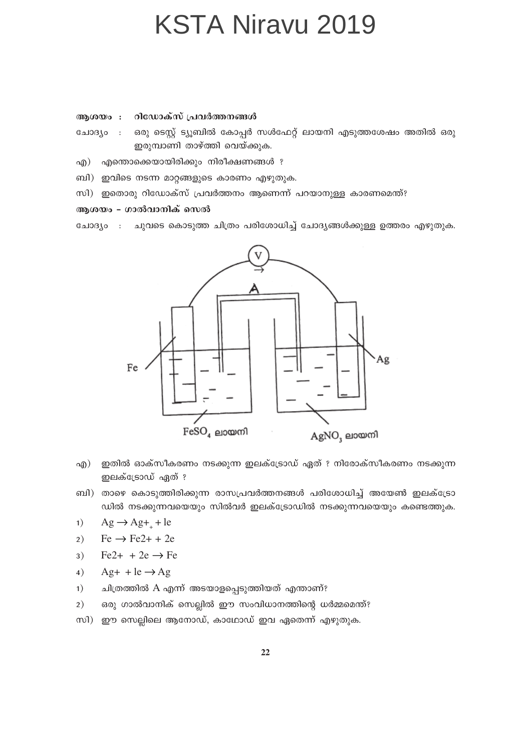#### റിഡോക്സ് പ്രവർത്തനങ്ങൾ ആശയം :

- ഒരു ടെസ്റ്റ് ട്യൂബിൽ കോപ്പർ സൾഫേറ്റ് ലായനി എടുത്തശേഷം അതിൽ ഒരു ചോദ്യം  $\overline{\phantom{a}}$ : ഇരുമ്പാണി താഴ്ത്തി വെയ്ക്കുക.
- എന്തൊക്കെയായിരിക്കും നിരീക്ഷണങ്ങൾ ?  $\alpha$
- ബി) ഇവിടെ നടന്ന മാറ്റങ്ങളുടെ കാരണം എഴുതുക.
- സി) ഇതൊരു റിഡോക്സ് പ്രവർത്തനം ആണെന്ന് പറയാനുള്ള കാരണമെന്ത്?

#### ആശയം - ഗാൽവാനിക് സെൽ

ചുവടെ കൊടുത്ത ചിത്രം പരിശോധിച്ച് ചോദ്യങ്ങൾക്കുള്ള ഉത്തരം എഴുതുക. ചോദ്യം  $\sim$  :



- ഇതിൽ ഓക്സീകരണം നടക്കുന്ന ഇലക്ട്രോഡ് ഏത് ? നിരോക്സീകരണം നടക്കുന്ന എ) ഇലക്ട്രോഡ് ഏത് ?
- ബി) താഴെ കൊടുത്തിരിക്കുന്ന രാസപ്രവർത്തനങ്ങൾ പരിശോധിച്ച് അയേൺ ഇലക്ട്രോ ഡിൽ നടക്കുന്നവയെയും സിൽവർ ഇലക്ട്രോഡിൽ നടക്കുന്നവയെയും കണ്ടെത്തുക.
- $Ag \rightarrow Ag+ + le$  $1)$
- $Fe \rightarrow Fe2+ + 2e$  $2)$
- $Fe2+ + 2e \rightarrow Fe$  $3)$
- $Ag+ + le \rightarrow Ag$  $4)$
- $1)$ ചിത്രത്തിൽ A എന്ന് അടയാളപ്പെടുത്തിയത് എന്താണ്?
- ഒരു ഗാൽവാനിക് സെല്ലിൽ ഈ സംവിധാനത്തിന്റെ ധർമ്മമെന്ത്?  $2)$
- സി) ഈ സെല്ലിലെ ആനോഡ്, കാഥോഡ് ഇവ ഏതെന്ന് എഴുതുക.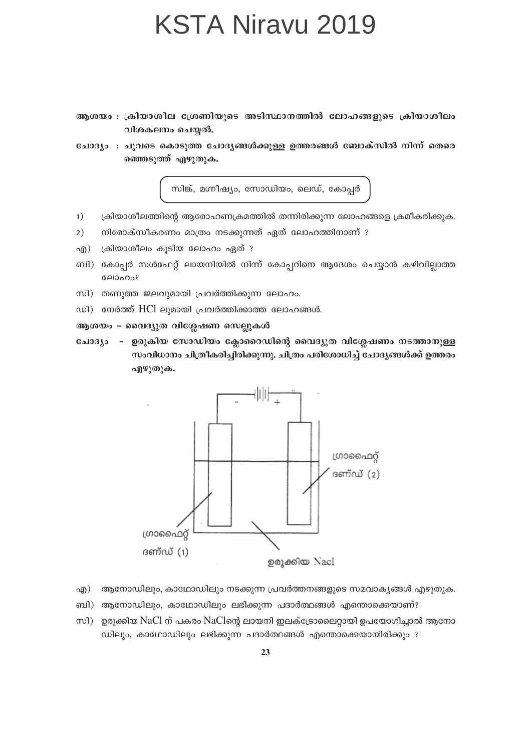- ആശയം : ക്രിയാശീല ശ്രേണിയുടെ അടിസ്ഥാനത്തിൽ ലോഹങ്ങളുടെ ക്രിയാശീലം വിശകലനം ചെയ്യൽ.
- ചോദ്യം : ചുവടെ കൊടുത്ത ചോദ്യങ്ങൾക്കുള്ള ഉത്തരങ്ങൾ ബോക്സിൽ നിന്ന് തെരെ ഞ്ഞെടുത്ത് എഴുതുക.

സിങ്ക്, മഗ്നീഷ്യം, സോഡിയം, ലെഡ്, കോപ്പർ

- ക്രിയാശീലത്തിന്റെ ആരോഹണക്രമത്തിൽ തന്നിരിക്കുന്ന ലോഹങ്ങളെ ക്രമീകരിക്കുക.  $1)$
- നിരോക്സീകരണം മാത്രം നടക്കുന്നത് ഏത് ലോഹത്തിനാണ് ?  $2)$
- ക്രിയാശീലം കൂടിയ ലോഹം ഏത് ? എ)
- ബി) കോപ്പർ സൾഫേറ്റ് ലായനിയിൽ നിന്ന് കോപ്പറിനെ ആദേശം ചെയ്യാൻ കഴിവില്ലാത്ത ലോഹം?
- സി) തണുത്ത ജലവുമായി പ്രവർത്തിക്കുന്ന ലോഹം.
- ഡി) നേർത്ത് HCl ലുമായി പ്രവർത്തിക്കാത്ത ലോഹങ്ങൾ.
- ആശയം വൈദ്യുത വിശ്ലേഷണ സെല്ലുകൾ
- ചോദ്യം ഉരുകിയ സോഡിയം ക്ലോറൈഡിന്റെ വൈദ്യുത വിശ്ലേഷണം നടത്താനുള്ള സംവിധാനം ചിത്രീകരിച്ചിരിക്കുന്നു. ചിത്രം പരിശോധിച്ച് ചോദ്യങ്ങൾക്ക് ഉത്തരം എഴുതുക.



ഉരുക്കിയ Nacl

- ആനോഡിലും, കാഥോഡിലും നടക്കുന്ന പ്രവർത്തനങ്ങളുടെ സമവാകൃങ്ങൾ എഴുതുക. എ)
- ബി) ആനോഡിലും, കാഥോഡിലും ലഭിക്കുന്ന പദാർത്ഥങ്ങൾ എന്തൊക്കെയാണ്?
- സി) ഉരുക്കിയ NaCl ന് പകരം NaClന്റെ ലായനി ഇലക്ട്രോലൈറ്റായി ഉപയോഗിച്ചാൽ ആനോ ഡിലും, കാഥോഡിലും ലഭിക്കുന്ന പദാർത്ഥങ്ങൾ എന്തൊക്കെയായിരിക്കും ?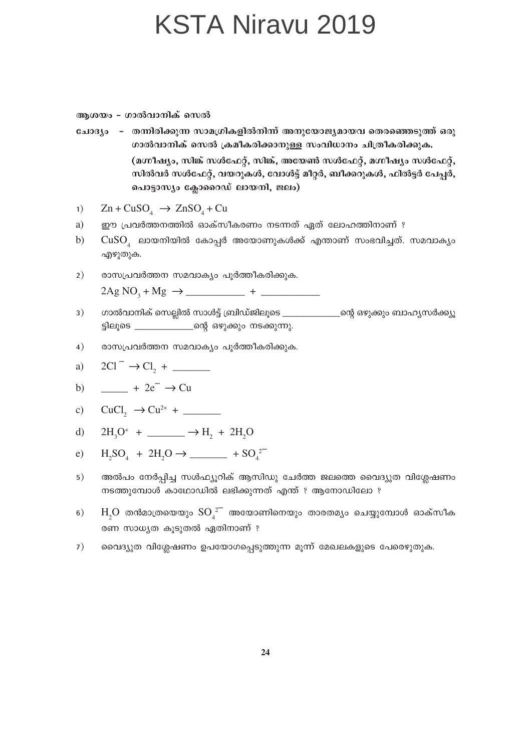അശയം - ഗാൽവാനിക് സെൽ

ചോദ്യം - തന്നിരിക്കുന്ന സാമഗ്രികളിൽനിന്ന് അനുയോജ്യമായവ തെരഞ്ഞെടുത്ത് ഒരു ഗാൽവാനിക് സെൽ ക്രമീകരിക്കാനുള്ള സംവിധാനം ചിത്രീകരിക്കുക. (മഗ്നീഷ്യം, സിങ്ക് സൾഫേറ്റ്, സിങ്ക്, അയേൺ സൾഫേറ്റ്, മഗ്നീഷ്യം സൾഫേറ്റ്, സിൽവർ സൾഫേറ്റ്, വയറുകൾ, വോൾട്ട് മീറ്റർ, ബീക്കറുകൾ, ഫിൽട്ടർ പേപ്പർ, പൊട്ടാസ്യം ക്ലോറൈഡ് ലായനി, ജലം)

 $\text{Zn} + \text{CuSO}_{4} \rightarrow \text{ZnSO}_{4} + \text{Cu}$  $1)$ 

- ഈ പ്രവർത്തനത്തിൽ ഓക്സീകരണം നടന്നത് ഏത് ലോഹത്തിനാണ് ? a)
- $CuSO<sub>4</sub>$  ലായനിയിൽ കോപ്പർ അയോണുകൾക്ക് എന്താണ് സംഭവിച്ചത്. സമവാകൃം  $b)$ എഴുതുക.
- രാസപ്രവർത്തന സമവാക്യം പൂർത്തീകരിക്കുക.  $2)$  $2Ag NO_3 + Mg \rightarrow$  +
- ഗാൽവാനിക് സെല്ലിൽ സാൾട്ട് ബ്രിഡ്ജിലൂടെ \_\_\_\_\_\_\_\_\_\_\_\_\_\_ന്റെ ഒഴുക്കും ബാഹ്യസർക്ക്യൂ  $3)$ ട്ടിലൂടെ \_\_\_\_\_\_\_\_\_\_\_\_\_\_\_ന്റെ ഒഴുക്കും നടക്കുന്നു.
- $4)$ രാസപ്രവർത്തന സമവാക്യം പൂർത്തീകരിക്കുക.

a) 
$$
2Cl^- \rightarrow Cl_2 +
$$

b) 
$$
\_\_\_\_\_ + 2e^- \rightarrow Cu
$$

c) 
$$
CuCl_2 \rightarrow Cu^{2+} +
$$

d) 
$$
2H_3O^+ + \underline{\hspace{1cm}} \rightarrow H_2 + 2H_2O
$$

e) 
$$
H_2SO_4 + 2H_2O \rightarrow
$$
  $\longrightarrow$   $+ SO_4^{2-}$ 

- അൽപം നേർപ്പിച്ച സൾഫ്യൂറിക് ആസിഡു ചേർത്ത ജലത്തെ വൈദ്യുത വിശ്ലേഷണം  $5)$ നടത്തുമ്പോൾ കാഥോഡിൽ ലഭിക്കുന്നത് എന്ത് ? ആനോഡിലോ ?
- $H_2O$  തൻമാത്രയെയും  $SO_4^2$  അയോണിനെയും താരതമ്യം ചെയ്യുമ്പോൾ ഓക്സീക  $6)$ രണ സാധ്യത കൂടുതൽ ഏതിനാണ് ?
- വൈദ്യുത വിശ്ലേഷണം ഉപയോഗപ്പെടുത്തുന്ന മൂന്ന് മേഖലകളുടെ പേരെഴുതുക.  $7)$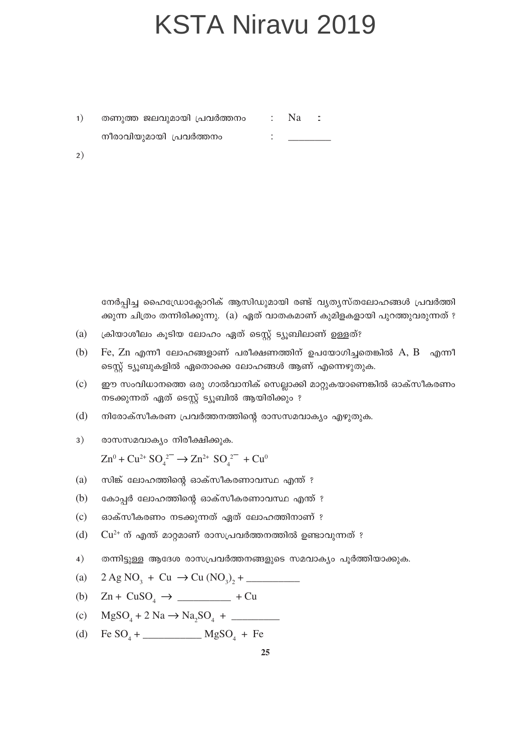തണുത്ത ജലവുമായി പ്രവർത്തനം : Na :  $1)$ നീരാവിയുമായി പ്രവർത്തനം 

 $2)$ 

നേർപ്പിച്ച ഹൈഡ്രോക്ലോറിക് ആസിഡുമായി രണ്ട് വ്യത്യസ്തലോഹങ്ങൾ പ്രവർത്തി ക്കുന്ന ചിത്രം തന്നിരിക്കുന്നു. (a) ഏത് വാതകമാണ് കുമിളകളായി പുറത്തുവരുന്നത് ?

- (a) ക്രിയാശീലം കൂടിയ ലോഹം ഏത് ടെസ്റ്റ് ട്യൂബിലാണ് ഉള്ളത്?
- $(b)$ Fe,  $Zn$  എന്നീ ലോഹങ്ങളാണ് പരീക്ഷണത്തിന് ഉപയോഗിച്ചതെങ്കിൽ  $A, B$  എന്നീ ടെസ്റ്റ് ട്യൂബുകളിൽ ഏതൊക്കെ ലോഹങ്ങൾ ആണ് എന്നെഴുതുക.
- $(c)$ ഈ സംവിധാനത്തെ ഒരു ഗാൽവാനിക് സെല്ലാക്കി മാറ്റുകയാണെങ്കിൽ ഓക്സീകരണം നടക്കുന്നത് ഏത് ടെസ്റ്റ് ട്യൂബിൽ ആയിരിക്കും ?
- $(d)$ നിരോക്സീകരണ പ്രവർത്തനത്തിന്റെ രാസസമവാക്യം എഴുതുക.
- $3)$ രാസസമവാക്യം നിരീക്ഷിക്കുക.

 $\text{Zn}^0 + \text{Cu}^{2+} \text{SO}^{2-} \rightarrow \text{Zn}^{2+} \text{SO}^{2-} + \text{Cu}^0$ 

- സിങ്ക് ലോഹത്തിന്റെ ഓക്സീകരണാവസ്ഥ എന്ത് ?  $(a)$
- $(b)$ കോപ്പർ ലോഹത്തിന്റെ ഓക്സീകരണാവസ്ഥ എന്ത് ?
- $(c)$ ഓക്സീകരണം നടക്കുന്നത് ഏത് ലോഹത്തിനാണ് ?
- $Cu^{2+}$  ന് എന്ത് മാറ്റമാണ് രാസപ്രവർത്തനത്തിൽ ഉണ്ടാവുന്നത് ?  $(d)$
- $4)$ തന്നിട്ടുള്ള ആദേശ രാസപ്രവർത്തനങ്ങളുടെ സമവാക്യം പൂർത്തിയാക്കുക.
- $2 \text{ Ag NO}_3 + \text{Cu} \rightarrow \text{Cu (NO}_3)$ , + (a)
- (b)
- $MgSO<sub>A</sub> + 2 Na \rightarrow Na<sub>2</sub>SO<sub>A</sub> +$  $(c)$
- $(d)$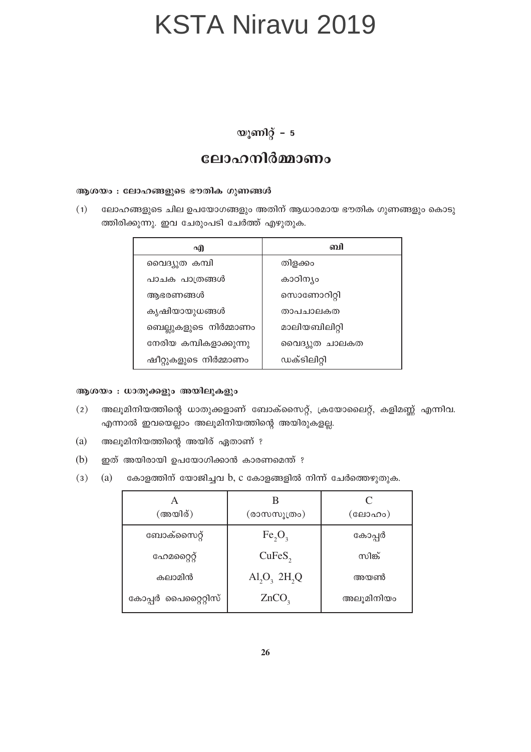#### യൂണിറ്റ് – 5

#### ലോഹനിർമ്മാണം

#### ആശയം : ലോഹങ്ങളുടെ ഭൗതിക ഗുണങ്ങൾ

ലോഹങ്ങളുടെ ചില ഉപയോഗങ്ങളും അതിന് ആധാരമായ ഭൗതിക ഗുണങ്ങളും കൊടു  $(1)$ ത്തിരിക്കുന്നു. ഇവ ചേരുംപടി ചേർത്ത് എഴുതുക.

| എ                      | வி            |
|------------------------|---------------|
| വൈദ്യുത കമ്പി          | തിളക്കം       |
| പാചക പാത്രങ്ങൾ         | കാഠിന്യം      |
| അഭരണങ്ങൾ               | സൊണോറിറ്റി    |
| കൃഷിയായുധങ്ങൾ          | താപചാലകത      |
| ബെല്ലുകളുടെ നിർമ്മാണം  | മാലിയബിലിറ്റി |
| നേരിയ കമ്പികളാക്കുന്നു | വൈദ്യുത ചാലകത |
| ഷീറ്റുകളുടെ നിർമ്മാണം  | ഡക്ടിലിറ്റി   |

#### ആശയം : ധാതുക്കളും അയിലുകളും

- അലൂമിനിയത്തിന്റെ ധാതുക്കളാണ് ബോക്സൈറ്റ്, ക്രയോലൈറ്റ്, കളിമണ്ണ് എന്നിവ.  $(2)$ എന്നാൽ ഇവയെല്ലാം അലൂമിനിയത്തിന്റെ അയിരുകളല്ല.
- $(a)$ അലൂമിനിയത്തിന്റെ അയിര് ഏതാണ് ?
- $(b)$ ഇത് അയിരായി ഉപയോഗിക്കാൻ കാരണമെന്ത് ?
- കോളത്തിന് യോജിച്ചവ b, c കോളങ്ങളിൽ നിന്ന് ചേർത്തെഴുതുക.  $(3)$  $(a)$

| (അയിര്)             | (രാസസൂത്രം)                               | (ലോഹം)    |
|---------------------|-------------------------------------------|-----------|
| ബോക്സൈറ്റ്          | Fe <sub>2</sub> O <sub>3</sub>            | കോപ്പർ    |
| ഹേമറൈറ്റ്           | CuFeS <sub>2</sub>                        | സിങ്ക്    |
| കലാമിൻ              | $\text{Al}_2\text{O}_3$ 2H <sub>2</sub> Q | അയൺ       |
| കോപ്പർ പൈറ്റൈറ്റിസ് | ZnCO <sub>3</sub>                         | അലൂമിനിയം |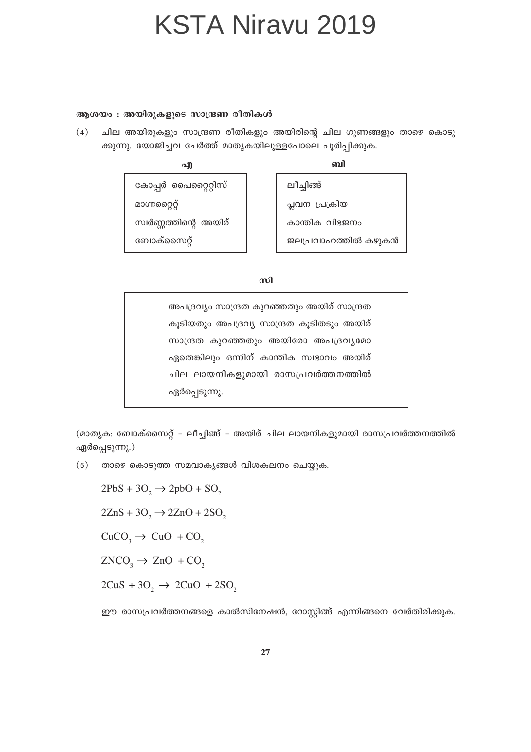#### ആശയം : അയിരുകളുടെ സാന്ദ്രണ രീതികൾ

 $(4)$ ചില അയിരുകളും സാന്ദ്രണ രീതികളും അയിരിന്റെ ചില ഗുണങ്ങളും താഴെ കൊടു ക്കുന്നു. യോജിച്ചവ ചേർത്ത് മാതൃകയിലുള്ളപോലെ പൂരിപ്പിക്കുക.

എ

வி

കോപ്പർ പൈറ്റൈറ്റിസ് മാഗ്നറ്റൈറ്റ് സ്വർണ്ണത്തിന്റെ അയിര് ബോക്സൈറ്റ്

ലീച്ചിങ്ങ് പ്ലവന പ്രക്രിയ കാന്തിക വിഭജനം ജലപ്രവാഹത്തിൽ കഴുകൻ

 $m<sup>1</sup>$ 

അപദ്രവ്യം സാന്ദ്രത കുറഞ്ഞതും അയിര് സാന്ദ്രത കൂടിയതും അപദ്രവ്യ സാന്ദ്രത കൂടിതടും അയിര് സാന്ദ്രത കുറഞ്ഞതും അയിരോ അപദ്രവ്യമോ ഏതെങ്കിലും ഒന്നിന് കാന്തിക സ്വഭാവം അയിര് ചില ലായനികളുമായി രാസപ്രവർത്തനത്തിൽ ഏർപ്പെടുന്നു.

(മാതൃക: ബോക്സൈറ്റ് – ലീച്ചിങ്ങ് – അയിര് ചില ലായനികളുമായി രാസപ്രവർത്തനത്തിൽ ഏർപ്പെടുന്നു.)

 $(5)$ താഴെ കൊടുത്ത സമവാകൃങ്ങൾ വിശകലനം ചെയ്യുക.

 $2PbS + 3O_2 \rightarrow 2p bO + SO_2$  $2ZnS + 3O_2 \rightarrow 2ZnO + 2SO_2$  $CuCO<sub>3</sub> \rightarrow CuO + CO<sub>2</sub>$  $ZNCO_3 \rightarrow ZnO + CO_2$  $2CuS + 3O_2 \rightarrow 2CuO + 2SO_2$ 

ഈ രാസപ്രവർത്തനങ്ങളെ കാൽസിനേഷൻ, റോസ്റ്റിങ്ങ് എന്നിങ്ങനെ വേർതിരിക്കുക.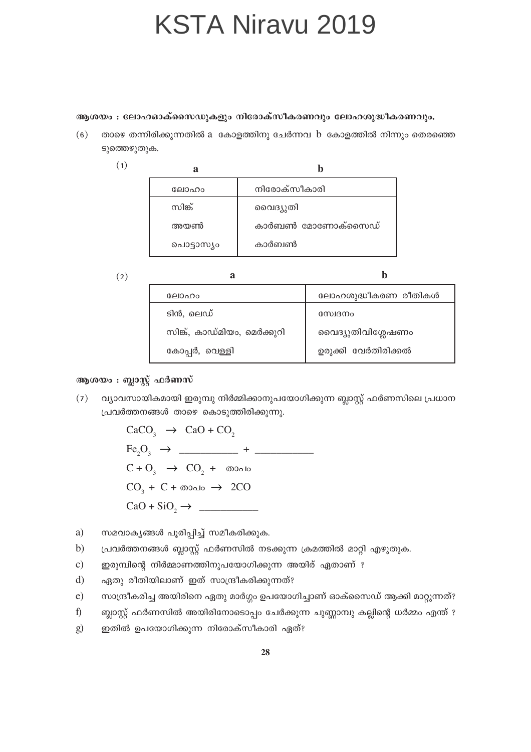#### ആശയം : ലോഹഓക്സൈഡുകളും നിരോക്സീകരണവും ലോഹശുദ്ധീകരണവും.

താഴെ തന്നിരിക്കുന്നതിൽ a കോളത്തിനു ചേർന്നവ b കോളത്തിൽ നിന്നും തെരഞ്ഞെ  $(6)$ ടുത്തെഴുതുക.

| ലോഹം       | നിരോക്സീകാരി     |
|------------|------------------|
| സിങ്ക്     | വൈദ്യുതി         |
| അയൺ        | കാർബൺ മോണോക്സൈഡ് |
| പൊട്ടാസ്യം | കാർബൺ            |

 $(2)$ 

 $(1)$ 

| ലോഹം                        | ലോഹശുദ്ധീകരണ രീതികൾ |
|-----------------------------|---------------------|
| ടിൻ, ലെഡ്                   | സ്വേദനം             |
| സിങ്ക്, കാഡ്മിയം, മെർക്കുറി | വൈദ്യുതിവിശ്ലേഷണം   |
| കോപ്പർ, വെള്ളി              | ഉരുക്കി വേർതിരിക്കൽ |
|                             |                     |

ĥ

#### ആശയം : ബ്ലാസ്റ്റ് ഫർണസ്

വ്യാവസായികമായി ഇരുമ്പു നിർമ്മിക്കാനുപയോഗിക്കുന്ന ബ്ലാസ്റ്റ് ഫർണസിലെ പ്രധാന  $(7)$ പ്രവർത്തനങ്ങൾ താഴെ കൊടുത്തിരിക്കുന്നു.

> $CaCO<sub>3</sub> \rightarrow CaO + CO<sub>2</sub>$  $C + O_3 \rightarrow CO_2 + \omega$  $CO<sub>3</sub> + C + \omega_0$ alo  $\rightarrow$  2CO  $CaO + SiO_2 \rightarrow$

- സമവാകൃങ്ങൾ പുരിപ്പിച്ച് സമീകരിക്കുക. a)
- പ്രവർത്തനങ്ങൾ ബ്ലാസ്റ്റ് ഫർണസിൽ നടക്കുന്ന ക്രമത്തിൽ മാറ്റി എഴുതുക. b)
- ഇരുമ്പിന്റെ നിർമ്മാണത്തിനുപയോഗിക്കുന്ന അയിര് ഏതാണ് ?  $\mathbf{c})$
- $\mathbf{d}$ ഏതു രീതിയിലാണ് ഇത് സാന്ദ്രീകരിക്കുന്നത്?
- $e)$ സാന്ദ്രീകരിച്ച അയിരിനെ ഏതു മാർഗ്ഗം ഉപയോഗിച്ചാണ് ഓക്സൈഡ് ആക്കി മാറ്റുന്നത്?
- $f$ ബ്ലാസ്റ്റ് ഫർണസിൽ അയിരിനോടൊപ്പം ചേർക്കുന്ന ചുണ്ണാമ്പു കല്ലിന്റെ ധർമ്മം എന്ത് ?
- ഇതിൽ ഉപയോഗിക്കുന്ന നിരോക്സീകാരി ഏത്?  $\mathbf{g}$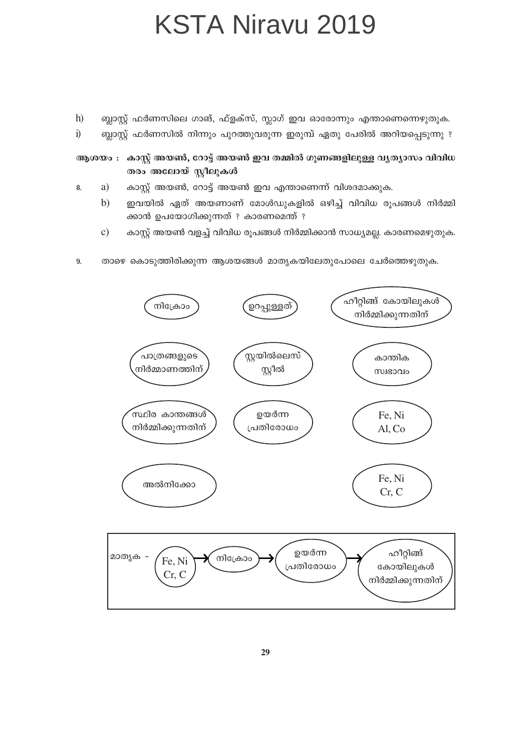- $h$ ബ്ലാസ്റ്റ് ഫർണസിലെ ഗാങ്, ഫ്ളക്സ്, സ്ലാഗ് ഇവ ഓരോന്നും എന്താണെന്നെഴുതുക.
- 
- $\ddot{1}$ ബ്ലാസ്റ്റ് ഫർണസിൽ നിന്നും പുറത്തുവരുന്ന ഇരുമ്പ് ഏതു പേരിൽ അറിയപ്പെടുന്നു ?
- ആശയം : കാസ്റ്റ് അയൺ, റോട്ട് അയൺ ഇവ തമ്മിൽ ഗുണങ്ങളിലുള്ള വൃത്യാസം വിവിധ തരം അലോയ് സ്റ്റീലുകൾ
- കാസ്റ്റ് അയൺ, റോട്ട് അയൺ ഇവ എന്താണെന്ന് വിശദമാക്കുക. a) 8.
	- $b)$ ഇവയിൽ ഏത് അയണാണ് മോൾഡുകളിൽ ഒഴിച്ച് വിവിധ രൂപങ്ങൾ നിർമ്മി ക്കാൻ ഉപയോഗിക്കുന്നത് ? കാരണമെന്ത് ?
	- കാസ്റ്റ് അയൺ വളച്ച് വിവിധ രൂപങ്ങൾ നിർമ്മിക്കാൻ സാധ്യമല്ല. കാരണമെഴുതുക.  $\mathbf{c})$
- 9. താഴെ കൊടുത്തിരിക്കുന്ന ആശയങ്ങൾ മാതൃകയിലേതുപോലെ ചേർത്തെഴുതുക.

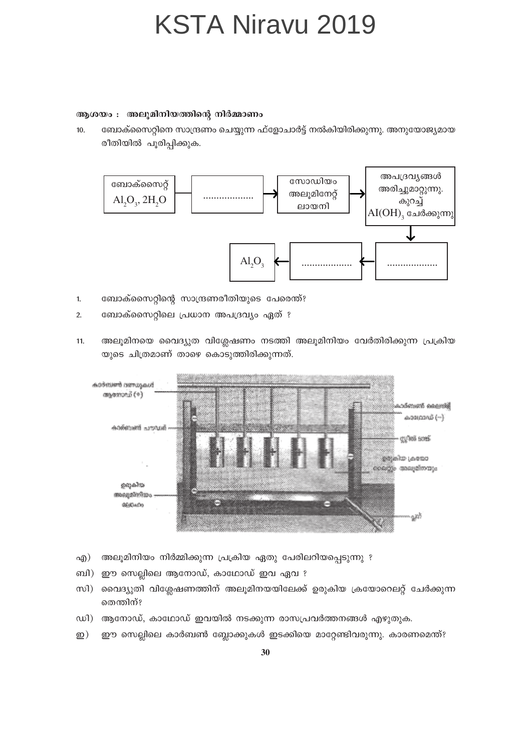#### ആശയം : അലുമിനിയത്തിന്റെ നിർമ്മാണം

 $10.$ ബോക്സൈറ്റിനെ സാന്ദ്രണം ചെയ്യുന്ന ഫ്ളോചാർട്ട് നൽകിയിരിക്കുന്നു. അനുയോജ്യമായ രീതിയിൽ പൂരിപ്പിക്കുക.



- ബോക്സൈറ്റിന്റെ സാന്ദ്രണരീതിയുടെ പേരെന്ത്?  $\overline{1}$ .
- ബോക്സൈറ്റിലെ പ്രധാന അപദ്രവ്യം ഏത് ?  $\overline{2}$ .
- അലൂമിനയെ വൈദ്യുത വിശ്ലേഷണം നടത്തി അലൂമിനിയം വേർതിരിക്കുന്ന പ്രക്രിയ  $11.$ യുടെ ചിത്രമാണ് താഴെ കൊടുത്തിരിക്കുന്നത്.



- അലൂമിനിയം നിർമ്മിക്കുന്ന പ്രക്രിയ ഏതു പേരിലറിയപ്പെടുന്നു ? എ $)$
- ഈ സെല്ലിലെ ആനോഡ്, കാഥോഡ് ഇവ ഏവ ? ബി)
- സി $)$ വൈദ്യുതി വിശ്ലേഷണത്തിന് അലൂമിനയയിലേക്ക് ഉരുകിയ ക്രയോറെലറ്റ് ചേർക്കുന്ന തെന്തിന്?
- ഡി) ആനോഡ്, കാഥോഡ് ഇവയിൽ നടക്കുന്ന രാസപ്രവർത്തനങ്ങൾ എഴുതുക.
- ഈ സെല്ലിലെ കാർബൺ ബ്ലോക്കുകൾ ഇടക്കിയെ മാറ്റേണ്ടിവരുന്നു. കാരണമെന്ത്?  $\mathbf{D}$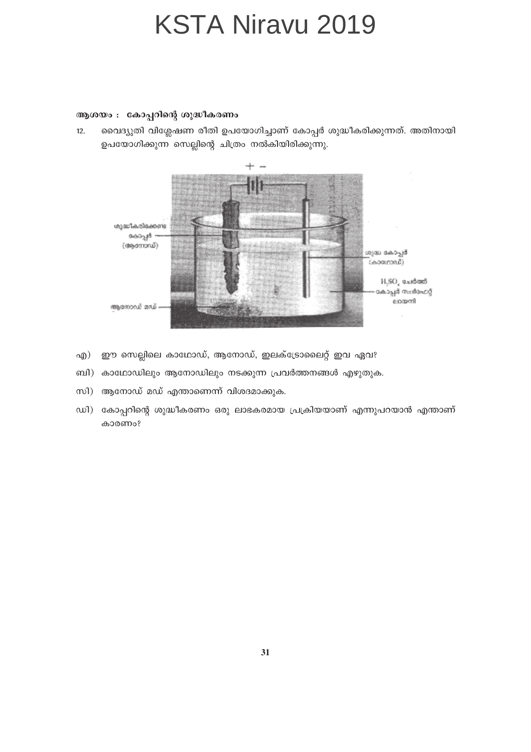#### ആശയം : കോപ്പറിന്റെ ശുദ്ധീകരണം

 $12.$ വൈദ്യുതി വിശ്ലേഷണ രീതി ഉപയോഗിച്ചാണ് കോപ്പർ ശുദ്ധീകരിക്കുന്നത്. അതിനായി ഉപയോഗിക്കുന്ന സെല്ലിന്റെ ചിത്രം നൽകിയിരിക്കുന്നു.



- ഈ സെല്ലിലെ കാഥോഡ്, ആനോഡ്, ഇലക്ട്രോലൈറ്റ് ഇവ ഏവ? എ)
- ബി) കാഥോഡിലും ആനോഡിലും നടക്കുന്ന പ്രവർത്തനങ്ങൾ എഴുതുക.
- സി) ആനോഡ് മഡ് എന്താണെന്ന് വിശദമാക്കുക.
- ഡി) കോപ്പറിന്റെ ശുദ്ധീകരണം ഒരു ലാഭകരമായ പ്രക്രിയയാണ് എന്നുപറയാൻ എന്താണ് കാരണം?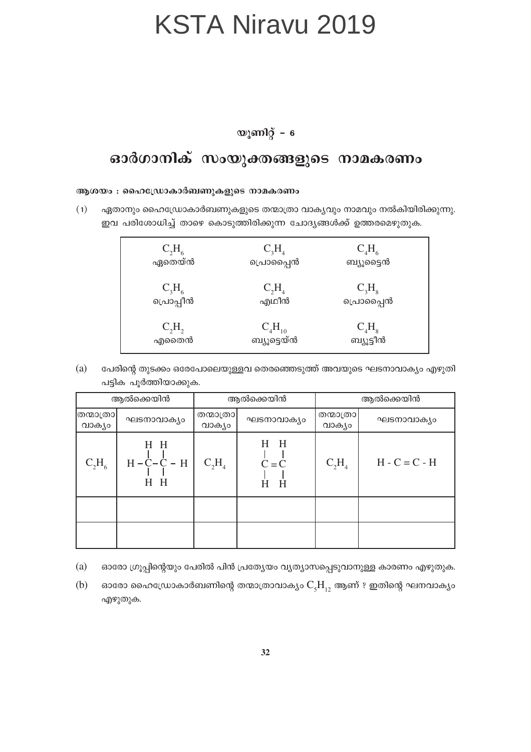#### യൂണിറ്റ് –  $6$

#### ഓർഗാനിക് സംയുക്തങ്ങളുടെ നാമകരണം

#### ആശയം : ഹൈഡ്രോകാർബണുകളുടെ നാമകരണം

 $(1)$ ഏതാനും ഹൈഡ്രോകാർബണുകളുടെ തന്മാത്രാ വാകൃവും നാമവും നൽകിയിരിക്കുന്നു. ഇവ പരിശോധിച്ച് താഴെ കൊടുത്തിരിക്കുന്ന ചോദ്യങ്ങൾക്ക് ഉത്തരമെഴുതുക.

| $C_2H_6$  | $C_3H_4$    | $C_4H_6$  |
|-----------|-------------|-----------|
| ഏതെയ്ൻ    | പൊപ്പൈൻ     | ബ്യൂട്ടൈൻ |
| $C_3H_6$  | $C_2H_4$    | $C_3H_8$  |
| പ്രൊപ്പീൻ | എഥീൻ        | പൊപ്പൈൻ   |
| $C_2H_2$  | $C_4H_{10}$ | $C_4H_8$  |
| എതൈൻ      | ബ്യൂട്ടെയ്ൻ | ബ്യൂട്ടീൻ |

 $(a)$ പേരിന്റെ തുടക്കം ഒരേപോലെയുള്ളവ തെരഞ്ഞെടുത്ത് അവയുടെ ഘടനാവാക്യം എഴുതി പട്ടിക പൂർത്തിയാക്കുക.

| ആൽക്കെയിൻ          |                               | ആൽക്കെയിൻ            |                              | ആൽക്കെയിൻ           |                 |
|--------------------|-------------------------------|----------------------|------------------------------|---------------------|-----------------|
| തന്മാത്രാ<br>വാകൃം | ഘടനാവാക്യം                    | തന്മാത്രാ <br>വാക്യം | ഘടനാവാക്യം                   | തന്മാത്രാ<br>വാക്യം | ഘടനാവാക്യം      |
| $C_2H_6$           | H H<br>$H - C - C - H$<br>H H | $C_2H_4$             | $H$ $H$<br>$C = C$<br>H<br>Н | $C_2H_4$            | $H - C = C - H$ |
|                    |                               |                      |                              |                     |                 |
|                    |                               |                      |                              |                     |                 |

- (a) ഓരോ ഗ്രൂപ്പിന്റെയും പേരിൽ പിൻ പ്രത്യേയം വ്യത്യാസപ്പെടുവാനുള്ള കാരണം എഴുതുക.
- ഓരോ ഹൈഡ്രോകാർബണിന്റെ തന്മാത്രാവാക്യം  $\mathrm{C_{_5}H_{_{12}}}$  ആണ് ? ഇതിന്റെ ഘനവാക്യം (b) എഴുതുക.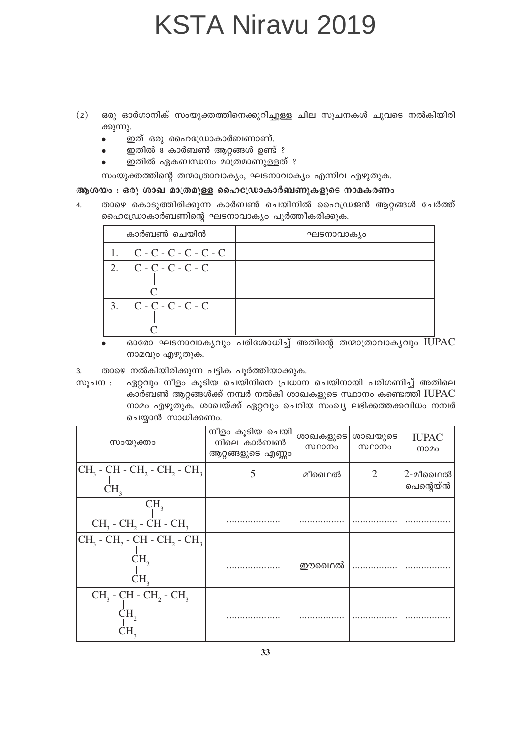- ഒരു ഓർഗാനിക് സംയുക്തത്തിനെക്കുറിച്ചുള്ള ചില സൂചനകൾ ചുവടെ നൽകിയിരി  $(2)$ ക്കുന്നു.
	- ഇത് ഒരു ഹൈഡ്രോകാർബണാണ്.  $\bullet$
	- ഇതിൽ 8 കാർബൺ ആറ്റങ്ങൾ ഉണ്ട് ?
	- ഇതിൽ ഏകബന്ധനം മാത്രമാണുള്ളത് ?

സംയുക്തത്തിന്റെ തന്മാത്രാവാക്യം, ഘടനാവാക്യം എന്നിവ എഴുതുക.

#### ആശയം : ഒരു ശാഖ മാത്രമുള്ള ഹൈഡ്രോകാർബണുകളുടെ നാമകരണം

താഴെ കൊടുത്തിരിക്കുന്ന കാർബൺ ചെയിനിൽ ഹൈഡ്രജൻ ആറ്റങ്ങൾ ചേർത്ത്  $\mathbf{A}$ ഹൈഡ്രോകാർബണിന്റെ ഘടനാവാക്യം പൂർത്തീകരിക്കുക.

| കാർബൺ ചെയിൻ                | ഘടനാവാക്യം |
|----------------------------|------------|
| 1. $C - C - C - C - C - C$ |            |
| 2. $C - C - C - C - C$     |            |
| 3. $C - C - C - C - C$     |            |

ഓരോ ഘടനാവാകൃവും പരിശോധിച്ച് അതിന്റെ തന്മാത്രാവാകൃവു<mark>ം IU</mark>PAC നാമവും എഴുതുക.

3. താഴെ നൽകിയിരിക്കുന്ന പട്ടിക പൂർത്തിയാക്കുക.

ഏറ്റവും നീളം കൂടിയ ചെയിനിനെ പ്രധാന ചെയിനായി പരിഗണിച്ച് അതിലെ സൂചന : കാർബൺ ആറ്റങ്ങൾക്ക് നമ്പർ നൽകി ശാഖകളുടെ സ്ഥാനം കണ്ടെത്തി  $IUPAC$ നാമം എഴുതുക. ശാഖയ്ക്ക് ഏറ്റവും ചെറിയ സംഖ്യ ലഭിക്കത്തക്കവിധം നമ്പർ ചെയ്യാൻ സാധിക്കണം.

| സംയുക്തം                                                                                                 | നീളം കൂടിയ ചെയി <br>നിലെ കാർബൺ<br>ആറ്റങ്ങളുടെ എണ്ണം | ശാഖകളുടെ <br>സ്ഥാനം | ശാഖയുടെ<br>സ്ഥാനം | <b>IUPAC</b><br>നാമം |
|----------------------------------------------------------------------------------------------------------|-----------------------------------------------------|---------------------|-------------------|----------------------|
| $ CH_3$ - CH - CH <sub>2</sub> - CH <sub>2</sub> - CH <sub>3</sub><br>CH <sub>2</sub>                    |                                                     | മീഥൈൽ               | 2                 | 2-മീഥൈൽ<br>പെന്റെയ്ൻ |
| CH <sub>3</sub><br>$CH3$ - $CH2$ - $CH$ - $CH3$                                                          |                                                     |                     |                   |                      |
| $ CH_3$ - CH <sub>2</sub> - CH - CH <sub>2</sub> - CH <sub>3</sub><br>CH <sub>2</sub><br>CH <sub>3</sub> |                                                     | ഈഥെൽ                |                   |                      |
| $CH3$ - CH - CH <sub>2</sub> - CH <sub>3</sub><br>CН,<br>СH,                                             |                                                     |                     |                   |                      |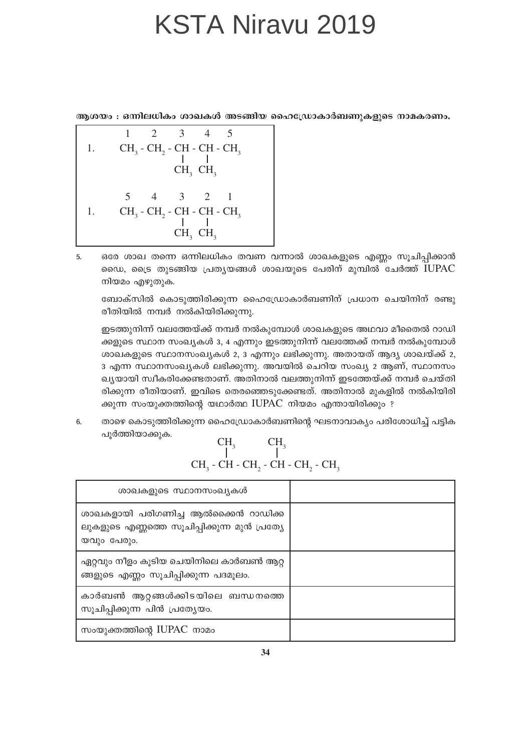ആശയം : ഒന്നിലധികം ശാഖകൾ അടങ്ങിയ ഹൈഡ്രോകാർബണുകളുടെ നാമകരണം.

- $\overline{2}$ 3  $\mathbf{1}$  $\overline{4}$ 5  $CH<sub>3</sub>$  -  $CH<sub>2</sub>$  -  $CH$  -  $CH$  -  $CH<sub>3</sub>$ 1.  $CH<sub>3</sub>$   $CH<sub>3</sub>$ 5  $\mathfrak{Z}$ 2  $\overline{4}$  $\mathbf{1}$ CH<sub>3</sub> - CH<sub>2</sub> - CH - CH<sub>2</sub>  $1.$  $CH<sub>2</sub>$   $CH<sub>2</sub>$
- ഒരേ ശാഖ തന്നെ ഒന്നിലധികം തവണ വന്നാൽ ശാഖകളുടെ എണ്ണം സൂചിപ്പിക്കാൻ 5. ഡൈ, ട്രൈ തുടങ്ങിയ പ്രത്യയങ്ങൾ ശാഖയുടെ പേരിന് മുമ്പിൽ ചേർത്ത് IUPAC നിയമം എഴുതുക.

ബോക്സിൽ കൊടുത്തിരിക്കുന്ന ഹൈഡ്രോകാർബണിന് പ്രധാന ചെയിനിന് രണ്ടു രീതിയിൽ നമ്പർ നൽകിയിരിക്കുന്നു.

ഇടത്തുനിന്ന് വലത്തേയ്ക്ക് നമ്പർ നൽകുമ്പോൾ ശാഖകളുടെ അഥവാ മീതൈൽ റാഡി ക്കളുടെ സ്ഥാന സംഖ്യകൾ 3, 4 എന്നും ഇടത്തുനിന്ന് വലത്തേക്ക് നമ്പർ നൽകുമ്പോൾ ശാഖകളുടെ സ്ഥാനസംഖ്യകൾ 2, 3 എന്നും ലഭിക്കുന്നു. അതായത് ആദ്യ ശാഖയ്ക്ക് 2, 3 എന്ന സ്ഥാനസംഖ്യകൾ ലഭിക്കുന്നു. അവയിൽ ചെറിയ സംഖ്യ 2 ആണ്, സ്ഥാനസം ഖ്യയായി സ്വീകരിക്കേണ്ടതാണ്. അതിനാൽ വലത്തുനിന്ന് ഇടത്തേയ്ക്ക് നമ്പർ ചെയ്തി രിക്കുന്ന രീതിയാണ്. ഇവിടെ തെരഞ്ഞെടുക്കേണ്ടത്. അതിനാൽ മുകളിൽ നൽകിയിരി ക്കുന്ന സംയുക്തത്തിന്റെ യഥാർത്ഥ IUPAC നിയമം എന്തായിരിക്കും ?

താഴെ കൊടുത്തിരിക്കുന്ന ഹൈഡ്രോകാർബണിന്റെ ഘടനാവാക്യം പരിശോധിച്ച് പട്ടിക 6. പൂർത്തിയാക്കുക.  $\sim$   $\sim$  $\overline{C}$ 

| ശാഖകളുടെ സ്ഥാനസംഖ്യകൾ                                                                             |  |
|---------------------------------------------------------------------------------------------------|--|
| ശാഖകളായി പരിഗണിച്ച ആൽക്കൈൻ റാഡിക്ക<br>ലുകളുടെ എണ്ണത്തെ സൂചിപ്പിക്കുന്ന മുൻ പ്രത്യേ<br>യവും പേരും. |  |
| ഏറ്റവും നീളം കൂടിയ ചെയിനിലെ കാർബൺ ആറ്റ<br>ങ്ങളുടെ എണ്ണം സൂചിപ്പിക്കുന്ന പദമൂലം.                   |  |
| കാർബൺ ആറ്റങ്ങൾക്കിടയിലെ ബന്ധനത്തെ<br>സൂചിപ്പിക്കുന്ന പിൻ പ്രത്യേയം.                               |  |
| സംയുക്തത്തിന്റെ IUPAC നാമം                                                                        |  |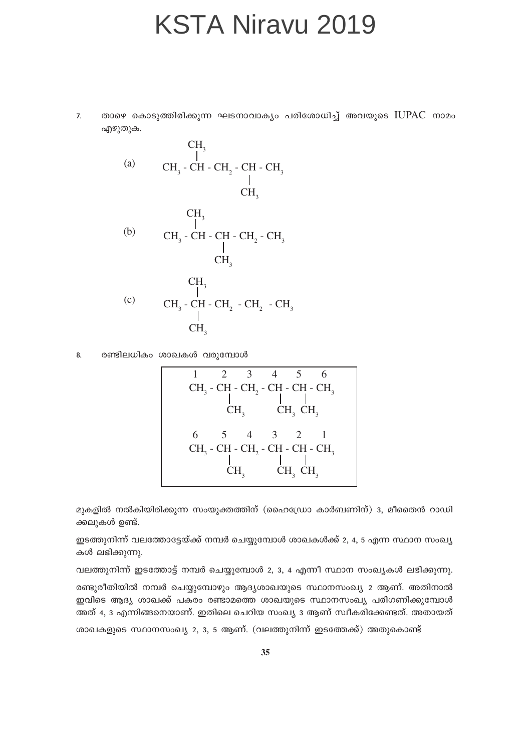താഴെ കൊടുത്തിരിക്കുന്ന ഘടനാവാക്യം പരിശോധിച്ച് അവയുടെ IUPAC നാമം  $\overline{7}$ . എഴുതുക.

(a)

\n
$$
CH_{3}^{-1}
$$
\n(b)

\n
$$
CH_{3} - CH - CH_{2} - CH - CH_{3}
$$
\n(c)

\n
$$
CH_{3}^{-1}
$$
\n(d)

\n
$$
CH_{3} - CH - CH - CH_{2} - CH_{3}
$$
\n(e)

\n
$$
CH_{3} - CH - CH_{2} - CH_{2} - CH_{3}
$$
\n(f)

\n
$$
CH_{3} - CH - CH_{2} - CH_{2} - CH_{3}
$$
\n(g)

\n
$$
CH_{3} - CH - CH_{2} - CH_{2} - CH_{3}
$$
\n(h)

\n
$$
CH_{3}
$$

രണ്ടിലധികം ശാഖകൾ വരുമ്പോൾ 8.

മുകളിൽ നൽകിയിരിക്കുന്ന സംയുക്തത്തിന് (ഹൈഡ്രോ കാർബണിന്) 3, മീതൈൻ റാഡി ക്കലുകൾ ഉണ്ട്.

ഇടത്തുനിന്ന് വലത്തോട്ടേയ്ക്ക് നമ്പർ ചെയ്യുമ്പോൾ ശാഖകൾക്ക് 2, 4, 5 എന്ന സ്ഥാന സംഖ്യ കൾ ലഭിക്കുന്നു.

വലത്തുനിന്ന് ഇടത്തോട്ട് നമ്പർ ചെയ്യുമ്പോൾ 2, 3, 4 എന്നീ സ്ഥാന സംഖ്യകൾ ലഭിക്കുന്നു. രണ്ടുരീതിയിൽ നമ്പർ ചെയ്യുമ്പോഴും ആദ്യശാഖയുടെ സ്ഥാനസംഖ്യ 2 ആണ്. അതിനാൽ ഇവിടെ ആദ്യ ശാഖക്ക് പകരം രണ്ടാമത്തെ ശാഖയുടെ സ്ഥാനസംഖ്യ പരിഗണിക്കുമ്പോൾ അത് 4, 3 എന്നിങ്ങനെയാണ്. ഇതിലെ ചെറിയ സംഖ്യ 3 ആണ് സ്ഥീകരിക്കേണ്ടത്. അതായത്

ശാഖകളുടെ സ്ഥാനസംഖ്യ 2, 3, 5 ആണ്. (വലത്തുനിന്ന് ഇടത്തേക്ക്) അതുകൊണ്ട്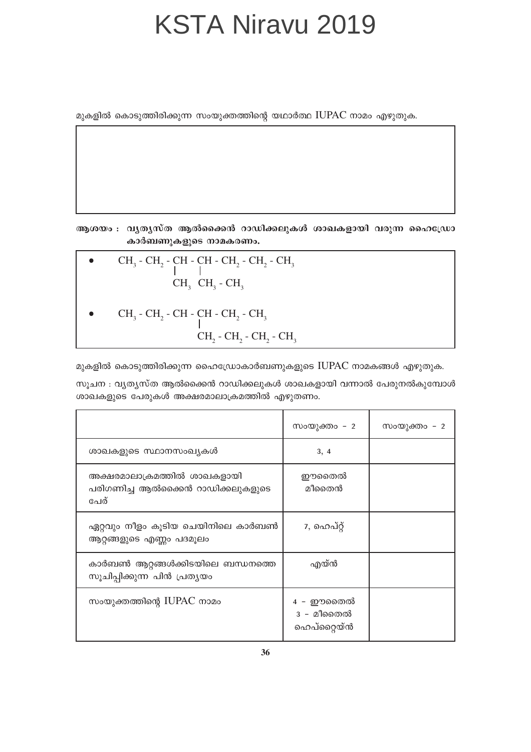മുകളിൽ കൊടുത്തിരിക്കുന്ന സംയുക്തത്തിന്റെ യഥാർത്ഥ IUPAC നാമം എഴുതുക.

ആശയം : വൃതൃസ്ത ആൽക്കൈൻ റാഡിക്കലുകൾ ശാഖകളായി വരുന്ന ഹൈഡ്രോ കാർബണുകളുടെ നാമകരണം.

\n- $$
CH_3 - CH_2 - CH - CH - CH_2 - CH_2 - CH_3
$$
\n- $CH_3 \cdot CH_3 - CH_3$
\n- $CH_3 - CH_2 - CH - CH - CH_2 - CH_3$
\n- $CH_2 - CH_2 - CH_2 - CH_2 - CH_3$
\n

മുകളിൽ കൊടുത്തിരിക്കുന്ന ഹൈഡ്രോകാർബണുകളുടെ IUPAC നാമകങ്ങൾ എഴുതുക.

സൂചന : വ്യത്യസ്ത ആൽക്കൈൻ റാഡിക്കലുകൾ ശാഖകളായി വന്നാൽ പേരുനൽകുമ്പോൾ ശാഖകളുടെ പേരുകൾ അക്ഷരമാലാക്രമത്തിൽ എഴുതണം.

|                                                                         | സംയുക്തം - 2                         | സംയുക്തം – 2 |
|-------------------------------------------------------------------------|--------------------------------------|--------------|
| ശാഖകളുടെ സ്ഥാനസംഖ്യകൾ                                                   | 3, 4                                 |              |
| അക്ഷരമാലാക്രമത്തിൽ ശാഖകളായി<br>പരിഗണിച്ച ആൽക്കൈൻ റാഡിക്കലുകളുടെ<br>പേര് | ഈതൈൽ<br>മീതൈൻ                        |              |
| ഏറ്റവും നീളം കൂടിയ ചെയിനിലെ കാർബൺ<br>ആറ്റങ്ങളുടെ എണ്ണം പദമൂലം           | 7, ഹെപ്റ്റ്                          |              |
| കാർബൺ ആറ്റങ്ങൾക്കിടയിലെ ബന്ധനത്തെ<br>സൂചിപ്പിക്കുന്ന പിൻ പ്രത്യയം       | എയ്ൻ                                 |              |
| സംയുക്തത്തിന്റെ IUPAC നാമം                                              | 4 - ഈതൈൽ<br>3 - മീതൈൽ<br>ഹെപ്റ്റൈയ്ൻ |              |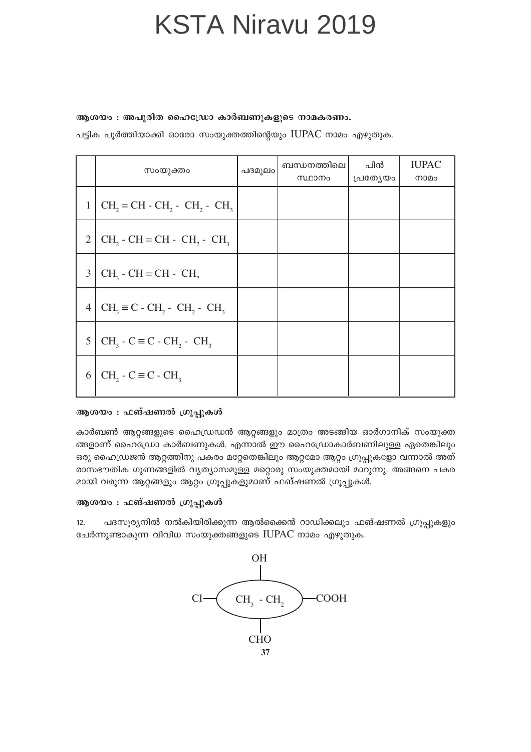ആശയം : അപൂരിത ഹൈഡ്രോ കാർബണുകളുടെ നാമകരണം.

പട്ടിക പൂർത്തിയാക്കി ഓരോ സംയുക്തത്തിന്റെയും IUPAC നാമം എഴുതുക.

|                | സംയുക്തം                                            | പദമൂലം | ബന്ധനത്തിലെ<br>സ്ഥാനം | പിൻ<br>പ്രത്യേയം | <b>IUPAC</b><br>നാമം |
|----------------|-----------------------------------------------------|--------|-----------------------|------------------|----------------------|
| 1              | $CH2 = CH - CH2 - CH2 - CH3$                        |        |                       |                  |                      |
| $\overline{2}$ | $CH2$ - CH = CH - CH <sub>2</sub> - CH <sub>3</sub> |        |                       |                  |                      |
| 3              | $CH3$ - CH = CH - CH <sub>2</sub>                   |        |                       |                  |                      |
| 4              | $CH3 \equiv C - CH2 - CH2 - CH3$                    |        |                       |                  |                      |
| 5              | $CH3 - C \equiv C - CH2 - CH3$                      |        |                       |                  |                      |
| 6              | $CH_2 - C \equiv C - CH_3$                          |        |                       |                  |                      |

#### ആശയം : ഫങ്ഷണൽ ഗ്രൂപ്പുകൾ

കാർബൺ ആറ്റങ്ങളുടെ ഹൈഡ്രഡൻ ആറ്റങ്ങളും മാത്രം അടങ്ങിയ ഓർഗാനിക് സംയുക്ത ങ്ങളാണ് ഹൈഡ്രോ കാർബണുകൾ. എന്നാൽ ഈ ഹൈഡ്രോകാർബണിലുള്ള ഏതെങ്കിലും ഒരു ഹൈഡ്രജൻ ആറ്റത്തിനു പകരം മറ്റേതെങ്കിലും ആറ്റമോ ആറ്റം ഗ്രൂപ്പുകളോ വന്നാൽ അത് രാസഭൗതിക ഗുണങ്ങളിൽ വ്യത്യാസമുള്ള മറ്റൊരു സംയുക്തമായി മാറുന്നു. അങ്ങനെ പകര മായി വരുന്ന ആറ്റങ്ങളും ആറ്റം ഗ്രൂപ്പുകളുമാണ് ഫങ്ഷണൽ ഗ്രൂപ്പുകൾ.

#### ആശയം : ഫങ്ഷണൽ ഗ്രൂപ്പുകൾ

പദസൂര്യനിൽ നൽകിയിരിക്കുന്ന ആൽക്കൈൻ റാഡിക്കലും ഫങ്ഷണൽ ഗ്രൂപ്പുകളും  $12.$ ചേർന്നുണ്ടാകുന്ന വിവിധ സംയുക്തങ്ങളുടെ IUPAC നാമം എഴുതുക.

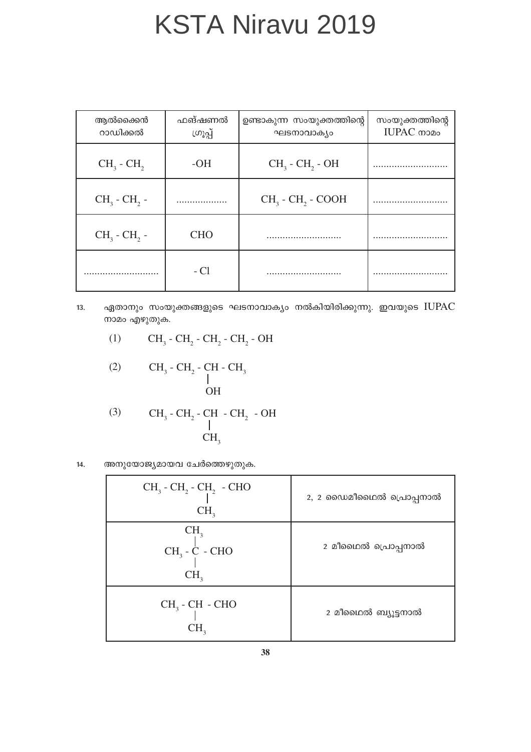| ആൽക്കൈൻ<br>റാഡിക്കൽ       | ഫങ്ഷണൽ<br>ഗ്രൂപ്പ് | ഉണ്ടാകുന്ന സംയുക്തത്തിന്റെ<br>ഘടനാവാക്യം | സംയുക്തത്തിന്റെ<br>IUPAC mono |
|---------------------------|--------------------|------------------------------------------|-------------------------------|
| $CH3$ - $CH2$             | $-OH$              | $CH3$ - $CH2$ - OH                       |                               |
| $CH3$ - CH <sub>2</sub> - | .                  | $CH3$ - $CH2$ - COOH                     |                               |
| $CH3$ - $CH2$ -           | <b>CHO</b>         |                                          |                               |
|                           | $-C1$              |                                          |                               |

- ഏതാനും സംയുക്തങ്ങളുടെ ഘടനാവാക്യം നൽകിയിരിക്കുന്നു. ഇവയുടെ IUPAC  $13.$ നാമം എഴുതുക.
	- $CH_3$   $CH_2$   $CH_2$   $CH_2$   $CH_2$   $OH$  $(1)$

$$
\begin{array}{cc}\n\text{(2)} & \text{CH}_3 \text{-} \text{CH}_2 \text{-} \text{CH} \text{-} \text{CH}_3 \\
 & \mid \\
 & \text{OH}\n\end{array}
$$

(3) 
$$
CH_3 - CH_2 - CH - CH_2 - OH
$$
  
\n $\downarrow$   
\n $CH_3$ 

അനുയോജ്യമായവ ചേർത്തെഴുതുക.  $14.$ 

| $CH_3$ - $CH_2$ - $CH_2$ - CHO<br>CH <sub>3</sub>      | 2, 2 ഡൈമീഥൈൽ പ്രൊപ്പനാൽ |
|--------------------------------------------------------|-------------------------|
| CH <sub>3</sub><br>$CH_3 - C - CHO$<br>CH <sub>3</sub> | 2 മീഥൈൽ പ്രൊപ്പനാൽ      |
| $CH3$ - $CH$ - CHO<br>CH <sub>2</sub>                  | 2 മീഥൈൽ ബ്യൂട്ടനാൽ      |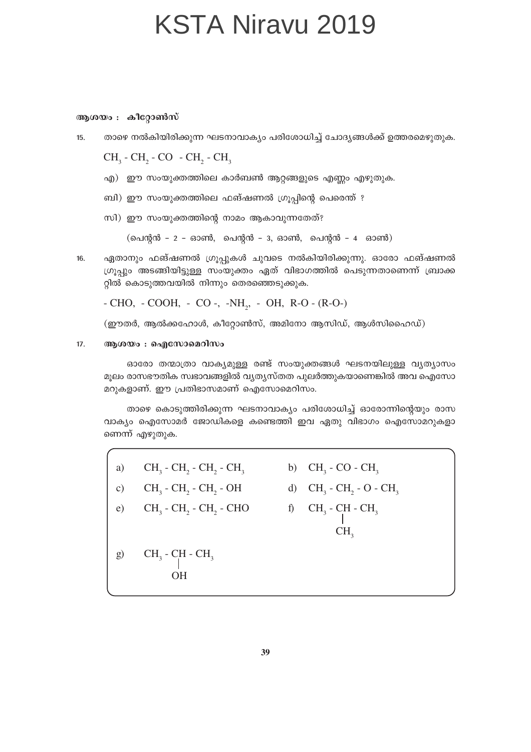ആശയം : കീറ്റോൺസ്

താഴെ നൽകിയിരിക്കുന്ന ഘടനാവാക്യം പരിശോധിച്ച് ചോദ്യങ്ങൾക്ക് ഉത്തരമെഴുതുക.  $15.$ 

 $CH<sub>3</sub>$  - CH<sub>2</sub> - CO - CH<sub>2</sub> - CH<sub>3</sub>

- എ) ഈ സംയുക്തത്തിലെ കാർബൺ ആറ്റങ്ങളുടെ എണ്ണം എഴുതുക.
- ബി) ഈ സംയുക്തത്തിലെ ഫങ്ഷണൽ ഗ്രൂപ്പിന്റെ പെരെന്ത് ?
- സി) ഈ സംയുക്തത്തിന്റെ നാമം ആകാവുന്നതേത്?

 $($ പെന്റൻ - 2 - ഓൺ, പെന്റൻ - 3, ഓൺ, പെന്റൻ - 4 ഓൺ)

ഏതാനും ഫങ്ഷണൽ ഗ്രൂപ്പുകൾ ചുവടെ നൽകിയിരിക്കുന്നു. ഓരോ ഫങ്ഷണൽ  $16.$ ഗ്രൂപ്പും അടങ്ങിയിട്ടുള്ള സംയുക്തം ഏത് വിഭാഗത്തിൽ പെടുന്നതാണെന്ന് ബ്രാക്ക റ്റിൽ കൊടുത്തവയിൽ നിന്നും തെരഞ്ഞെടുക്കുക.

- CHO, - COOH, - CO -, -NH<sub>2</sub>, - OH, R-O - (R-O-)

 $($ ഈതർ, ആൽക്കഹോൾ, കീറ്റോൺസ്, അമിനോ ആസിഡ്, ആൾസിഹൈഡ്)

#### $17.$ ആശയം : ഐസോമെറിസം

ഓരോ തന്മാത്രാ വാക്യമുള്ള രണ്ട് സംയുക്തങ്ങൾ ഘടനയിലുള്ള വൃത്യാസം മുലം രാസഭൗതിക സ്വഭാവങ്ങളിൽ വ്യത്യസ്തത പുലർത്തുകയാണെങ്കിൽ അവ ഐസോ മറുകളാണ്. ഈ പ്രതിഭാസമാണ് ഐസോമെറിസം.

താഴെ കൊടുത്തിരിക്കുന്ന ഘടനാവാക്യം പരിശോധിച്ച് ഓരോന്നിന്റെയും രാസ വാക്യം ഐസോമർ ജോഡികളെ കണ്ടെത്തി ഇവ ഏതു വിഭാഗം ഐസോമറുകളാ ണെന്ന് എഴുതുക.

 $CH_3$  -  $CH_2$  -  $CH_2$  -  $CH_3$  b)  $CH_3$  - CO -  $CH_3$ a) c)  $CH_3$  -  $CH_2$  -  $CH_2$  -  $OH$  d)  $CH_3$  -  $CH_2$  -  $O$  -  $CH_3$ e)  $CH_3$  -  $CH_2$  -  $CH_2$  - CHO f)  $CH_3$  - CH - CH<sub>3</sub>  $CH<sub>3</sub>$ g)  $CH_3$  -  $CH_3$  -  $CH_3$  $OH$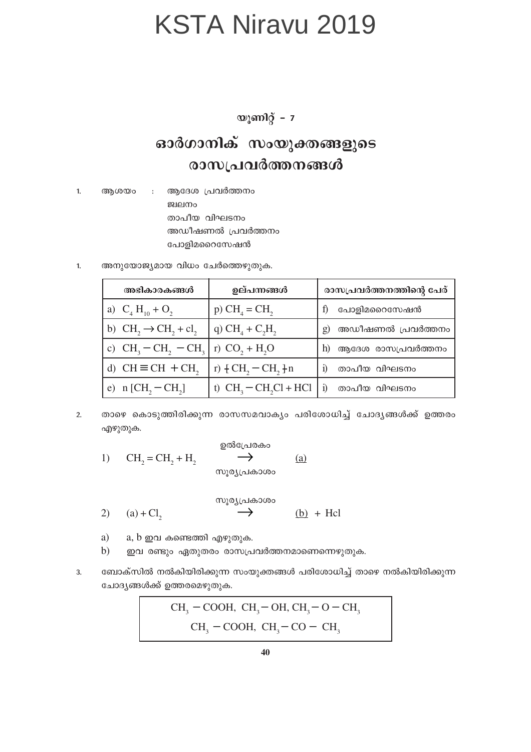യൂണിറ്റ് -  $7$ 

#### ഓർഗാനിക് സംയുക്തങ്ങളുടെ രാസപ്രവർത്തനങ്ങൾ

 $1.$ ആശയം ആദേശ പ്രവർത്തനം  $\pm$ ജ്വലനം താപീയ വിഘടനം അഡീഷണൽ പ്രവർത്തനം പോളിമറൈസേഷൻ

അനുയോജ്യമായ വിധം ചേർത്തെഴുതുക. 1.

| അഭികാരകങ്ങൾ                       | ഉല്പന്നങ്ങൾ            | രാസപ്രവർത്തനത്തിന്റെ പേര്           |  |  |
|-----------------------------------|------------------------|-------------------------------------|--|--|
| a) $C_4 H_{10} + O_2$             | $p) CHA = CH2$         | പോളിമറൈസേഷൻ                         |  |  |
| b) $CH_2 \rightarrow CH_2 + cl_2$ | q) $CH4 + C2H2$        | അഡീഷണൽ പ്രവർത്തനം<br>$\mathfrak{g}$ |  |  |
| c) $CH_3-CH_2-CH_3$               | r) $CO_2 + H_2O$       | ആദേശ രാസപ്രവർത്തനം<br>h)            |  |  |
| d) $CH \equiv CH + CH$ ,          | r) $\{CH, -CH, \}n$    | താപീയ വിഘടനം                        |  |  |
| e) $n [CH, - CH,]$                | t) $CH3 - CH2Cl + HCl$ | താപീയ വിഘടനം<br>$\overline{1}$      |  |  |

താഴെ കൊടുത്തിരിക്കുന്ന രാസസമവാക്യം പരിശോധിച്ച് ചോദ്യങ്ങൾക്ക് ഉത്തരം  $2.$ എഴുതുക.

$$
1) \t CH2 = CH2 + H2 \t\t\t 20000
$$

$$
\begin{array}{cccc}\n\text{C} & \text{C} & \text{C} \\
\text{(a)} + \text{Cl}_2 & \text{C} & \text{C} \\
\text{(b)} & \text{H} & \text{C}\n\end{array}
$$

- a) a,  $b \nightharpoonup a$  കണ്ടെത്തി എഴുതുക.
- $b)$ ഇവ രണ്ടും ഏതുതരം രാസപ്രവർത്തനമാണെന്നെഴുതുക.
- ബോക്സിൽ നൽകിയിരിക്കുന്ന സംയുക്തങ്ങൾ പരിശോധിച്ച് താഴെ നൽകിയിരിക്കുന്ന 3. ചോദ്യങ്ങൾക്ക് ഉത്തരമെഴുതുക.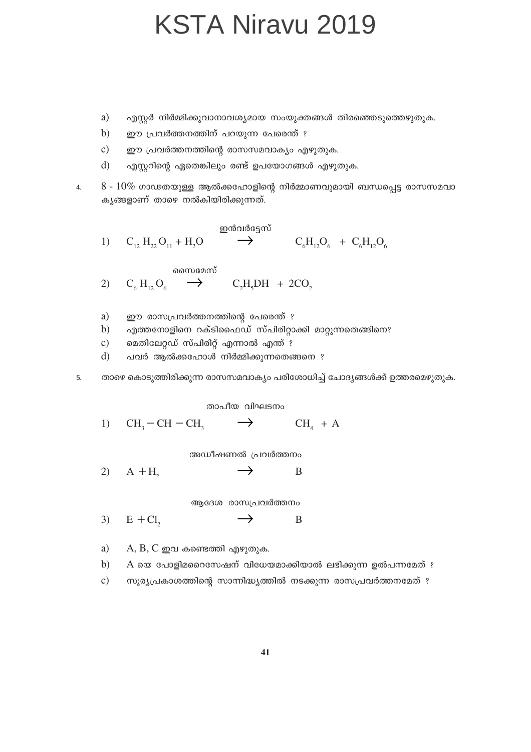- a) എസ്റ്റർ നിർമ്മിക്കുവാനാവശ്യമായ സംയുക്തങ്ങൾ തിരഞ്ഞെടുത്തെഴുതുക.
- $b)$ ഈ പ്രവർത്തനത്തിന് പറയുന്ന പേരെന്ത് ?
- $\mathbf{c})$ ഈ പ്രവർത്തനത്തിന്റെ രാസസമവാക്യം എഴുതുക.
- $\rm d$ എസ്റ്ററിന്റെ ഏതെങ്കിലും രണ്ട് ഉപയോഗങ്ങൾ എഴുതുക.

 $8 - 10\%$  ഗാഢതയുള്ള ആൽക്കഹോളിന്റെ നിർമ്മാണവുമായി ബന്ധപ്പെട്ട രാസസമവാ  $\overline{4}$ . കൃങ്ങളാണ് താഴെ നൽകിയിരിക്കുന്നത്.

$$
\begin{array}{cccc}\n & & \text{and} & \text{and} & \text{and} & \text{and} & \text{and} & \text{and} & \text{and} & \text{and} & \text{and} & \text{and} & \text{and} & \text{and} & \text{and} & \text{and} & \text{and} & \text{and} & \text{and} & \text{and} & \text{and} & \text{and} & \text{and} & \text{and} & \text{and} & \text{and} & \text{and} & \text{and} & \text{and} & \text{and} & \text{and} & \text{and} & \text{and} & \text{and} & \text{and} & \text{and} & \text{and} & \text{and} & \text{and} & \text{and} & \text{and} & \text{and} & \text{and} & \text{and} & \text{and} & \text{and} & \text{and} & \text{and} & \text{and} & \text{and} & \text{and} & \text{and} & \text{and} & \text{and} & \text{and} & \text{and} & \text{and} & \text{and} & \text{and} & \text{and} & \text{and} & \text{and} & \text{and} & \text{and} & \text{and} & \text{and} & \text{and} & \text{and} & \text{and} & \text{and} & \text{and} & \text{and} & \text{and} & \text{and} & \text{and} & \text{and} & \text{and} & \text{and} & \text{and} & \text{and} & \text{and} & \text{and} & \text{and} & \text{and} & \text{and} & \text{and} & \text{and} & \text{and} & \text{and} & \text{and} & \text{and} & \text{and} & \text{and} & \text{and} & \text{and} & \text{and} & \text{and} & \text{and} & \text{and} & \text{and} & \text{and} & \text{and} & \text{and} & \text{and} & \text{and} & \text{and} & \text{and} & \text{and} & \text{and} & \text{and} & \text{and} & \text{and} & \text{and} & \text{and} & \text{and} & \text{and} & \text{and} & \text{and} & \text{and} & \text{and} & \text{and} & \text{and} & \text{and} & \text{and} & \text{and} & \text{and} & \text{and} &
$$

സൈമേസ്

- 2)  $C_6 H_{12} O_6 \rightarrow$  $C_2H_2DH + 2CO$
- a) ഈ രാസപ്രവർത്തനത്തിന്റെ പേരെന്ത് ?
- എത്തനോളിനെ റക്ടിഫൈഡ് സ്പിരിറ്റാക്കി മാറ്റുന്നതെങ്ങിനെ?  $b)$
- $\mathbf{c})$ മെതിലേറ്റഡ് സ്പിരിറ്റ് എന്നാൽ എന്ത് ?
- $d)$ പവർ ആൽക്കഹോൾ നിർമ്മിക്കുന്നതെങ്ങനെ ?
- 5.
- താഴെ കൊടുത്തിരിക്കുന്ന രാസസമവാക്യം പരിശോധിച്ച് ചോദ്യങ്ങൾക്ക് ഉത്തരമെഴുതുക.
- 

 $CH_{4} + A$ 

- 
- 
- 

അഡീഷണൽ പ്രവർത്തനം

താപീയ വിഘടനം

 $\rightarrow$ 

 $\rightarrow$ B  $(2)$  $A + H$ 

ആദേശ രാസപ്രവർത്തനം

 $E + Cl$  $\rightarrow$ B  $3)$ 

a)  $A, B, C$  ഇവ കണ്ടെത്തി എഴുതുക.

 $CH<sub>3</sub>-CH-CH<sub>3</sub>$ 

1)

 $A$  യെ പോളിമറൈസേഷന് വിധേയമാക്കിയാൽ ലഭിക്കുന്ന ഉൽപന്നമേത് ?  $b)$ 

 $\mathbf{c})$ സൂര്യപ്രകാശത്തിന്റെ സാന്നിദ്ധ്യത്തിൽ നടക്കുന്ന രാസപ്രവർത്തനമേത് ?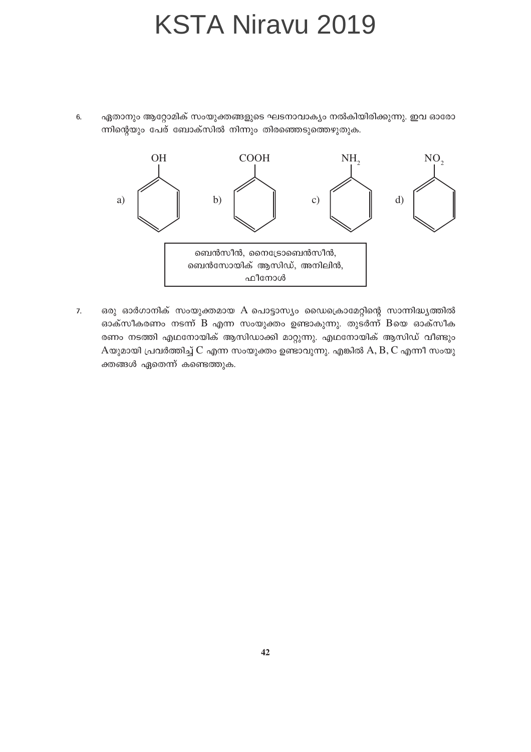ഏതാനും ആറ്റോമിക് സംയുക്തങ്ങളുടെ ഘടനാവാക്യം നൽകിയിരിക്കുന്നു. ഇവ ഓരോ 6. ന്നിന്റെയും പേര് ബോക്സിൽ നിന്നും തിരഞ്ഞെടുത്തെഴുതുക.



ഒരു ഓർഗാനിക് സംയുക്തമായ A പൊട്ടാസ്യം ഡൈക്രൊമേറ്റിന്റെ സാന്നിദ്ധ്യത്തിൽ  $\overline{7}$ . ഓക്സീകരണം നടന്ന് B എന്ന സംയുക്തം ഉണ്ടാകുന്നു. തുടർന്ന് Bയെ ഓക്സീക രണം നടത്തി എഥനോയിക് ആസിഡാക്കി മാറ്റുന്നു. എഥനോയിക് ആസിഡ് വീണ്ടും  $A$ യുമായി പ്രവർത്തിച്ച്  $C$  എന്ന സംയുക്തം ഉണ്ടാവുന്നു. എങ്കിൽ  $A, B, C$  എന്നീ സംയു ക്തങ്ങൾ ഏതെന്ന് കണ്ടെത്തുക.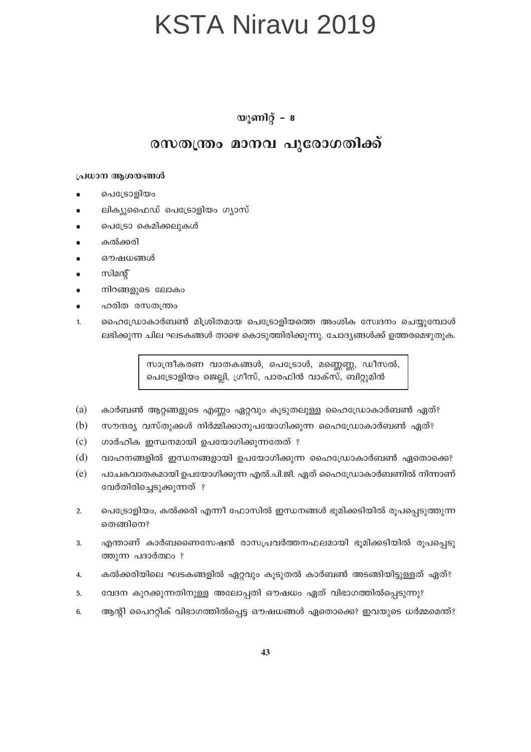#### യൂണിറ്റ് –  $\boldsymbol{8}$

#### രസതന്ത്രം മാനവ പുരോഗതിക്ക്

#### പ്രധാന ആശയങ്ങൾ

- പെട്രോളിയം
- ലിക്യുഫൈഡ് പെട്രോളിയം ഗ്യാസ്
- പെട്രോ കെമിക്കലുകൾ
- കൽക്കരി
- ഔഷധങ്ങൾ
- സിമന്റ്
- നിറങ്ങളുടെ ലോകം
- ഹരിത രസതന്ത്രം
- ഹൈഡ്രോകാർബൺ മിശ്രിതമായ പെട്രോളിയത്തെ അംശിക സ്വേദനം ചെയ്യുമ്പോൾ  $\mathbf{1}$ ലഭിക്കുന്ന ചില ഘടകങ്ങൾ താഴെ കൊടുത്തിരിക്കുന്നു. ചോദ്യങ്ങൾക്ക് ഉത്തരമെഴുതുക.

സാന്ദ്രീകരണ വാതകങ്ങൾ, പെട്രോൾ, മണ്ണെണ്ണ, ഡീസൽ, പെട്രോളിയം ജെല്ലി, ഗ്രീസ്, പാരഫിൻ വാക്സ്, ബിറ്റുമിൻ

- (a) കാർബൺ ആറ്റങ്ങളുടെ എണ്ണം ഏറ്റവും കൂടുതലുള്ള ഹൈഡ്രോകാർബൺ ഏത്?
- (b) സൗന്ദര്യ വസ്തുക്കൾ നിർമ്മിക്കാനുപയോഗിക്കുന്ന ഹൈഡ്രോകാർബൺ ഏത്?
- $(c)$ ഗാർഹിക ഇന്ധനമായി ഉപയോഗിക്കുന്നതേത് ?
- $(d)$ വാഹനങ്ങളിൽ ഇന്ധനങ്ങളായി ഉപയോഗിക്കുന്ന ഹൈഡ്രോകാർബൺ ഏതൊക്കെ?
- $(e)$ പാചകവാതകമായി ഉപയോഗിക്കുന്ന എൽ.പി.ജി. ഏത് ഹൈഡ്രോകാർബണിൽ നിന്നാണ് വേർതിരിച്ചെടുക്കുന്നത് ?
- പെട്രോളിയം, കൽക്കരി എന്നീ ഫോസിൽ ഇന്ധനങ്ങൾ ഭൂമിക്കടിയിൽ രൂപപ്പെടുത്തുന്ന  $2.$ തെങ്ങിനെ?
- എന്താണ് കാർബണൈസേഷൻ രാസപ്രവർത്തനഫലമായി ഭൂമിക്കടിയിൽ രൂപപ്പെടു 3. ത്തുന്ന പദാർത്ഥം ?
- കൽക്കരിയിലെ ഘടകങ്ങളിൽ ഏറ്റവും കൂടുതൽ കാർബൺ അടങ്ങിയിട്ടുള്ളത് ഏത്?  $\mathbf{A}$
- വേദന കുറക്കുന്നതിനുള്ള അലോപ്പതി ഔഷധം ഏത് വിഭാഗത്തിൽപ്പെടുന്നു? 5.
- ആന്റി പൈററ്റിക് വിഭാഗത്തിൽപ്പെട്ട ഔഷധങ്ങൾ ഏതൊക്കെ? ഇവയുടെ ധർമ്മമെന്ത്?  $6.$